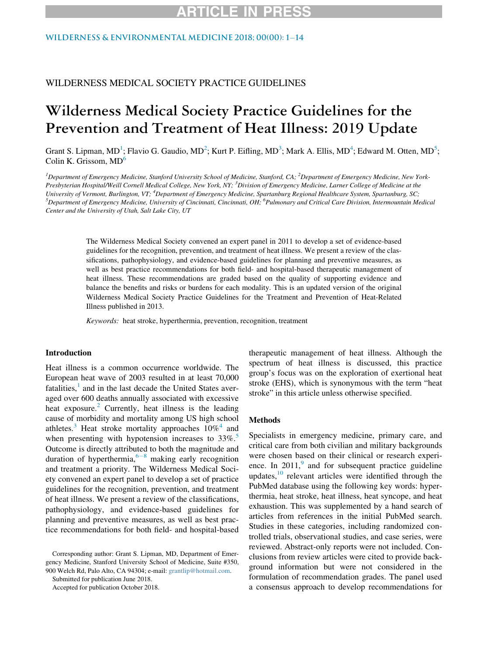### WILDERNESS & ENVIRONMENTAL MEDICINE 2018: 00(00): 1-[14](https://doi.org/10.1016/j.wem.2018.10.004)

## WILDERNESS MEDICAL SOCIETY PRACTICE GUIDELINES

# Wilderness Medical Society Practice Guidelines for the Prevention and Treatment of Heat Illness: 2019 Update

Grant S. Lipman, MD<sup>[1](#page-0-0)</sup>; Flavio G. Gaudio, MD<sup>[2](#page-0-0)</sup>; Kurt P. Eifling, MD<sup>[3](#page-0-1)</sup>; Mark A. Ellis, MD<sup>[4](#page-0-2)</sup>; Edward M. Otten, MD<sup>[5](#page-0-2)</sup>; Colin K. Grissom, MD<sup>[6](#page-0-3)</sup>

<span id="page-0-3"></span><span id="page-0-2"></span><span id="page-0-1"></span><span id="page-0-0"></span><sup>1</sup> Department of Emergency Medicine, Stanford University School of Medicine, Stanford, CA; <sup>2</sup> Department of Emergency Medicine, New York-Presbyterian Hospital/Weill Cornell Medical College, New York, NY; <sup>3</sup>Division of Emergency Medicine, Larner College of Medicine at the University of Vermont, Burlington, VT; <sup>4</sup>Department of Emergency Medicine, Spartanburg Regional Healthcare System, Spartanburg, SC;  $^5$ Department of Emergency Medicine, University of Cincinnati, Cincinnati, OH;  $^6$ Pulmonary and Critical Care Division, Intermountain Medical Center and the University of Utah, Salt Lake City, UT

> The Wilderness Medical Society convened an expert panel in 2011 to develop a set of evidence-based guidelines for the recognition, prevention, and treatment of heat illness. We present a review of the classifications, pathophysiology, and evidence-based guidelines for planning and preventive measures, as well as best practice recommendations for both field- and hospital-based therapeutic management of heat illness. These recommendations are graded based on the quality of supporting evidence and balance the benefits and risks or burdens for each modality. This is an updated version of the original Wilderness Medical Society Practice Guidelines for the Treatment and Prevention of Heat-Related Illness published in 2013.

Keywords: heat stroke, hyperthermia, prevention, recognition, treatment

#### Introduction

Heat illness is a common occurrence worldwide. The European heat wave of 2003 resulted in at least 70,000 fatalities, $\frac{1}{1}$  $\frac{1}{1}$  $\frac{1}{1}$  and in the last decade the United States averaged over 600 deaths annually associated with excessive heat exposure.<sup>[2](#page-9-1)</sup> Currently, heat illness is the leading cause of morbidity and mortality among US high school athletes.<sup>[3](#page-9-2)</sup> Heat stroke mortality approaches  $10\%$ <sup>[4](#page-9-3)</sup> and when presenting with hypotension increases to  $33\%$ <sup>3</sup> Outcome is directly attributed to both the magnitude and duration of hyperthermia,  $6-8$  $6-8$  $6-8$  making early recognition and treatment a priority. The Wilderness Medical Society convened an expert panel to develop a set of practice guidelines for the recognition, prevention, and treatment of heat illness. We present a review of the classifications, pathophysiology, and evidence-based guidelines for planning and preventive measures, as well as best practice recommendations for both field- and hospital-based

Corresponding author: Grant S. Lipman, MD, Department of Emergency Medicine, Stanford University School of Medicine, Suite #350, 900 Welch Rd, Palo Alto, CA 94304; e-mail: [grantlip@hotmail.com.](mailto:grantlip@hotmail.com)

Submitted for publication June 2018.

Accepted for publication October 2018.

therapeutic management of heat illness. Although the spectrum of heat illness is discussed, this practice group's focus was on the exploration of exertional heat stroke (EHS), which is synonymous with the term "heat stroke" in this article unless otherwise specified.

#### Methods

Specialists in emergency medicine, primary care, and critical care from both civilian and military backgrounds were chosen based on their clinical or research experience. In  $2011$ , and for subsequent practice guideline updates, $10$  relevant articles were identified through the PubMed database using the following key words: hyperthermia, heat stroke, heat illness, heat syncope, and heat exhaustion. This was supplemented by a hand search of articles from references in the initial PubMed search. Studies in these categories, including randomized controlled trials, observational studies, and case series, were reviewed. Abstract-only reports were not included. Conclusions from review articles were cited to provide background information but were not considered in the formulation of recommendation grades. The panel used a consensus approach to develop recommendations for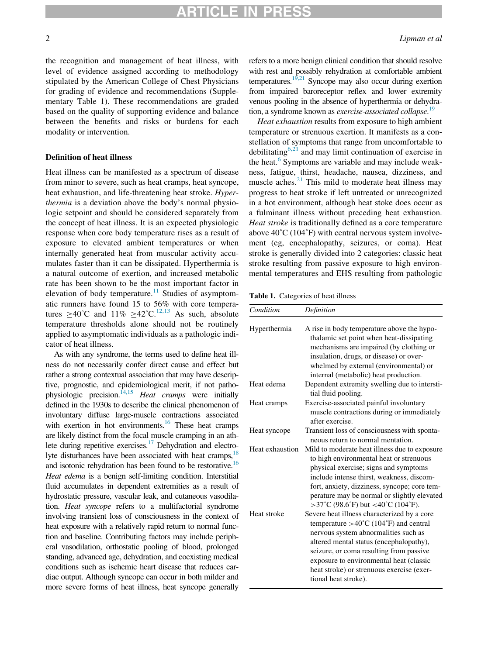the recognition and management of heat illness, with level of evidence assigned according to methodology stipulated by the American College of Chest Physicians for grading of evidence and recommendations (Supplementary Table 1). These recommendations are graded based on the quality of supporting evidence and balance between the benefits and risks or burdens for each modality or intervention.

#### Definition of heat illness

Heat illness can be manifested as a spectrum of disease from minor to severe, such as heat cramps, heat syncope, heat exhaustion, and life-threatening heat stroke. Hyperthermia is a deviation above the body's normal physiologic setpoint and should be considered separately from the concept of heat illness. It is an expected physiologic response when core body temperature rises as a result of exposure to elevated ambient temperatures or when internally generated heat from muscular activity accumulates faster than it can be dissipated. Hyperthermia is a natural outcome of exertion, and increased metabolic rate has been shown to be the most important factor in elevation of body temperature. $11$  Studies of asymptomatic runners have found 15 to 56% with core temperatures >40°C and  $11\%$  >42°C.<sup>[12,13](#page-10-1)</sup> As such, absolute temperature thresholds alone should not be routinely applied to asymptomatic individuals as a pathologic indicator of heat illness.

<span id="page-1-0"></span>As with any syndrome, the terms used to define heat illness do not necessarily confer direct cause and effect but rather a strong contextual association that may have descriptive, prognostic, and epidemiological merit, if not pathophysiologic precision.<sup> $14,15$ </sup> Heat cramps were initially defined in the 1930s to describe the clinical phenomenon of involuntary diffuse large-muscle contractions associated with exertion in hot environments.<sup>16</sup> These heat cramps are likely distinct from the focal muscle cramping in an ath-lete during repetitive exercises.<sup>[17](#page-10-4)</sup> Dehydration and electrolyte disturbances have been associated with heat cramps, <sup>18</sup> and isotonic rehydration has been found to be restorative.<sup>16</sup> Heat edema is a benign self-limiting condition. Interstitial fluid accumulates in dependent extremities as a result of hydrostatic pressure, vascular leak, and cutaneous vasodilation. Heat syncope refers to a multifactorial syndrome involving transient loss of consciousness in the context of heat exposure with a relatively rapid return to normal function and baseline. Contributing factors may include peripheral vasodilation, orthostatic pooling of blood, prolonged standing, advanced age, dehydration, and coexisting medical conditions such as ischemic heart disease that reduces cardiac output. Although syncope can occur in both milder and more severe forms of heat illness, heat syncope generally refers to a more benign clinical condition that should resolve with rest and possibly rehydration at comfortable ambient temperatures.<sup>[19,21](#page-10-6)</sup> Syncope may also occur during exertion from impaired baroreceptor reflex and lower extremity venous pooling in the absence of hyperthermia or dehydra-tion, a syndrome known as exercise-associated collapse.<sup>[19](#page-10-6)</sup>

Heat exhaustion results from exposure to high ambient temperature or strenuous exertion. It manifests as a constellation of symptoms that range from uncomfortable to debilitating<sup>[6,21](#page-9-5)</sup> and may limit continuation of exercise in the heat.<sup>[6](#page-9-5)</sup> Symptoms are variable and may include weakness, fatigue, thirst, headache, nausea, dizziness, and muscle aches. $2<sup>1</sup>$  This mild to moderate heat illness may progress to heat stroke if left untreated or unrecognized in a hot environment, although heat stoke does occur as a fulminant illness without preceding heat exhaustion. Heat stroke is traditionally defined as a core temperature above  $40^{\circ}$ C (104 $^{\circ}$ F) with central nervous system involvement (eg, encephalopathy, seizures, or coma). Heat stroke is generally divided into 2 categories: classic heat stroke resulting from passive exposure to high environmental temperatures and EHS resulting from pathologic

Table 1. Categories of heat illness

| Condition       | Definition                                                                                                                                                                                                                                                                                                                                                    |  |
|-----------------|---------------------------------------------------------------------------------------------------------------------------------------------------------------------------------------------------------------------------------------------------------------------------------------------------------------------------------------------------------------|--|
| Hyperthermia    | A rise in body temperature above the hypo-<br>thalamic set point when heat-dissipating<br>mechanisms are impaired (by clothing or<br>insulation, drugs, or disease) or over-<br>whelmed by external (environmental) or<br>internal (metabolic) heat production.                                                                                               |  |
| Heat edema      | Dependent extremity swelling due to intersti-<br>tial fluid pooling.                                                                                                                                                                                                                                                                                          |  |
| Heat cramps     | Exercise-associated painful involuntary<br>muscle contractions during or immediately<br>after exercise.                                                                                                                                                                                                                                                       |  |
| Heat syncope    | Transient loss of consciousness with sponta-<br>neous return to normal mentation.                                                                                                                                                                                                                                                                             |  |
| Heat exhaustion | Mild to moderate heat illness due to exposure<br>to high environmental heat or strenuous<br>physical exercise; signs and symptoms<br>include intense thirst, weakness, discom-<br>fort, anxiety, dizziness, syncope; core tem-<br>perature may be normal or slightly elevated<br>$>37^{\circ}$ C (98.6 $^{\circ}$ F) but <40 $^{\circ}$ C (104 $^{\circ}$ F). |  |
| Heat stroke     | Severe heat illness characterized by a core<br>temperature $>40^{\circ}$ C (104 $^{\circ}$ F) and central<br>nervous system abnormalities such as<br>altered mental status (encephalopathy),<br>seizure, or coma resulting from passive<br>exposure to environmental heat (classic<br>heat stroke) or strenuous exercise (exer-<br>tional heat stroke).       |  |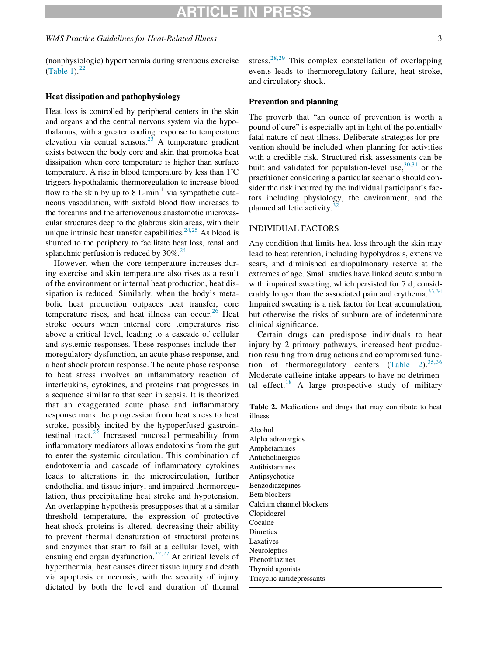#### WMS Practice Guidelines for Heat-Related Illness 3

(nonphysiologic) hyperthermia during strenuous exercise [\(Table 1](#page-1-0)). $^{22}$  $^{22}$  $^{22}$ 

#### Heat dissipation and pathophysiology

Heat loss is controlled by peripheral centers in the skin and organs and the central nervous system via the hypothalamus, with a greater cooling response to temperature elevation via central sensors.<sup>23</sup> A temperature gradient exists between the body core and skin that promotes heat dissipation when core temperature is higher than surface temperature. A rise in blood temperature by less than 1˚C triggers hypothalamic thermoregulation to increase blood flow to the skin by up to 8 L $\cdot$ min<sup>-1</sup> via sympathetic cutaneous vasodilation, with sixfold blood flow increases to the forearms and the arteriovenous anastomotic microvascular structures deep to the glabrous skin areas, with their unique intrinsic heat transfer capabilities. $24,25$  As blood is shunted to the periphery to facilitate heat loss, renal and splanchnic perfusion is reduced by  $30\%$ .<sup>24</sup>

<span id="page-2-0"></span>However, when the core temperature increases during exercise and skin temperature also rises as a result of the environment or internal heat production, heat dissipation is reduced. Similarly, when the body's metabolic heat production outpaces heat transfer, core temperature rises, and heat illness can occur.<sup>[26](#page-10-11)</sup> Heat stroke occurs when internal core temperatures rise above a critical level, leading to a cascade of cellular and systemic responses. These responses include thermoregulatory dysfunction, an acute phase response, and a heat shock protein response. The acute phase response to heat stress involves an inflammatory reaction of interleukins, cytokines, and proteins that progresses in a sequence similar to that seen in sepsis. It is theorized that an exaggerated acute phase and inflammatory response mark the progression from heat stress to heat stroke, possibly incited by the hypoperfused gastrointestinal tract. $22$  Increased mucosal permeability from inflammatory mediators allows endotoxins from the gut to enter the systemic circulation. This combination of endotoxemia and cascade of inflammatory cytokines leads to alterations in the microcirculation, further endothelial and tissue injury, and impaired thermoregulation, thus precipitating heat stroke and hypotension. An overlapping hypothesis presupposes that at a similar threshold temperature, the expression of protective heat-shock proteins is altered, decreasing their ability to prevent thermal denaturation of structural proteins and enzymes that start to fail at a cellular level, with ensuing end organ dysfunction.[22,27](#page-10-8) At critical levels of hyperthermia, heat causes direct tissue injury and death via apoptosis or necrosis, with the severity of injury dictated by both the level and duration of thermal stress.<sup>[28,29](#page-10-12)</sup> This complex constellation of overlapping events leads to thermoregulatory failure, heat stroke, and circulatory shock.

### Prevention and planning

The proverb that "an ounce of prevention is worth a pound of cure" is especially apt in light of the potentially fatal nature of heat illness. Deliberate strategies for prevention should be included when planning for activities with a credible risk. Structured risk assessments can be built and validated for population-level use,  $30,31$  or the practitioner considering a particular scenario should consider the risk incurred by the individual participant's factors including physiology, the environment, and the planned athletic activity.<sup>3</sup>

### INDIVIDUAL FACTORS

Any condition that limits heat loss through the skin may lead to heat retention, including hypohydrosis, extensive scars, and diminished cardiopulmonary reserve at the extremes of age. Small studies have linked acute sunburn with impaired sweating, which persisted for 7 d, consid-erably longer than the associated pain and erythema.<sup>[33,34](#page-10-15)</sup> Impaired sweating is a risk factor for heat accumulation, but otherwise the risks of sunburn are of indeterminate clinical significance.

Certain drugs can predispose individuals to heat injury by 2 primary pathways, increased heat production resulting from drug actions and compromised function of thermoregulatory centers  $(Table 2)$  $(Table 2)$ .  $35,36$ Moderate caffeine intake appears to have no detrimen-tal effect.<sup>[18](#page-10-5)</sup> A large prospective study of military

Table 2. Medications and drugs that may contribute to heat illness

| Alcohol                   |  |  |  |
|---------------------------|--|--|--|
| Alpha adrenergics         |  |  |  |
| Amphetamines              |  |  |  |
| Anticholinergics          |  |  |  |
| Antihistamines            |  |  |  |
| Antipsychotics            |  |  |  |
| Benzodiazepines           |  |  |  |
| Beta blockers             |  |  |  |
| Calcium channel blockers  |  |  |  |
| Clopidogrel               |  |  |  |
| Cocaine                   |  |  |  |
| <b>Diuretics</b>          |  |  |  |
| Laxatives                 |  |  |  |
| Neuroleptics              |  |  |  |
| Phenothiazines            |  |  |  |
| Thyroid agonists          |  |  |  |
| Tricyclic antidepressants |  |  |  |
|                           |  |  |  |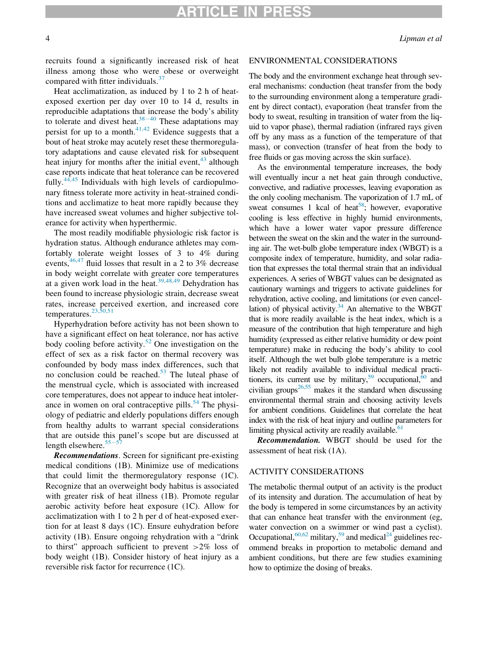## TICLE IN

recruits found a significantly increased risk of heat illness among those who were obese or overweight compared with fitter individuals.<sup>[37](#page-10-17)</sup>

Heat acclimatization, as induced by 1 to 2 h of heatexposed exertion per day over 10 to 14 d, results in reproducible adaptations that increase the body's ability to tolerate and divest heat.<sup>[38](#page-10-18)-[40](#page-10-18)</sup> These adaptations may persist for up to a month. $41,42$  Evidence suggests that a bout of heat stroke may acutely reset these thermoregulatory adaptations and cause elevated risk for subsequent heat injury for months after the initial event,<sup>[43](#page-10-20)</sup> although case reports indicate that heat tolerance can be recovered fully. $44,45$  Individuals with high levels of cardiopulmonary fitness tolerate more activity in heat-strained conditions and acclimatize to heat more rapidly because they have increased sweat volumes and higher subjective tolerance for activity when hyperthermic.

The most readily modifiable physiologic risk factor is hydration status. Although endurance athletes may comfortably tolerate weight losses of 3 to 4% during events,  $46,47$  fluid losses that result in a 2 to 3% decrease in body weight correlate with greater core temperatures at a given work load in the heat.<sup>[39,48,49](#page-10-22)</sup> Dehydration has been found to increase physiologic strain, decrease sweat rates, increase perceived exertion, and increased core temperatures.<sup>[23,50,51](#page-10-9)</sup>

Hyperhydration before activity has not been shown to have a significant effect on heat tolerance, nor has active body cooling before activity.<sup>[52](#page-11-1)</sup> One investigation on the effect of sex as a risk factor on thermal recovery was confounded by body mass index differences, such that no conclusion could be reached.<sup>[53](#page-11-2)</sup> The luteal phase of the menstrual cycle, which is associated with increased core temperatures, does not appear to induce heat intoler-ance in women on oral contraceptive pills.<sup>[54](#page-11-3)</sup> The physiology of pediatric and elderly populations differs enough from healthy adults to warrant special considerations that are outside this panel's scope but are discussed at length elsewhere. $55-5$  $55-5$ 

Recommendations. Screen for significant pre-existing medical conditions (1B). Minimize use of medications that could limit the thermoregulatory response (1C). Recognize that an overweight body habitus is associated with greater risk of heat illness (1B). Promote regular aerobic activity before heat exposure (1C). Allow for acclimatization with 1 to 2 h per d of heat-exposed exertion for at least 8 days (1C). Ensure euhydration before activity (1B). Ensure ongoing rehydration with a "drink to thirst" approach sufficient to prevent >2% loss of body weight (1B). Consider history of heat injury as a reversible risk factor for recurrence (1C).

#### ENVIRONMENTAL CONSIDERATIONS

The body and the environment exchange heat through several mechanisms: conduction (heat transfer from the body to the surrounding environment along a temperature gradient by direct contact), evaporation (heat transfer from the body to sweat, resulting in transition of water from the liquid to vapor phase), thermal radiation (infrared rays given off by any mass as a function of the temperature of that mass), or convection (transfer of heat from the body to free fluids or gas moving across the skin surface).

As the environmental temperature increases, the body will eventually incur a net heat gain through conductive, convective, and radiative processes, leaving evaporation as the only cooling mechanism. The vaporization of 1.7 mL of sweat consumes 1 kcal of heat<sup>58</sup>; however, evaporative cooling is less effective in highly humid environments, which have a lower water vapor pressure difference between the sweat on the skin and the water in the surrounding air. The wet-bulb globe temperature index (WBGT) is a composite index of temperature, humidity, and solar radiation that expresses the total thermal strain that an individual experiences. A series of WBGT values can be designated as cautionary warnings and triggers to activate guidelines for rehydration, active cooling, and limitations (or even cancellation) of physical activity. $34$  An alternative to the WBGT that is more readily available is the heat index, which is a measure of the contribution that high temperature and high humidity (expressed as either relative humidity or dew point temperature) make in reducing the body's ability to cool itself. Although the wet bulb globe temperature is a metric likely not readily available to individual medical practitioners, its current use by military,<sup>59</sup> occupational, $60$  and civilian groups<sup>26,55</sup> makes it the standard when discussing environmental thermal strain and choosing activity levels for ambient conditions. Guidelines that correlate the heat index with the risk of heat injury and outline parameters for limiting physical activity are readily available. $61$ 

Recommendation. WBGT should be used for the assessment of heat risk (1A).

#### ACTIVITY CONSIDERATIONS

The metabolic thermal output of an activity is the product of its intensity and duration. The accumulation of heat by the body is tempered in some circumstances by an activity that can enhance heat transfer with the environment (eg, water convection on a swimmer or wind past a cyclist). Occupational,  $60,62$  military,  $59$  and medical<sup>[24](#page-10-11)</sup> guidelines recommend breaks in proportion to metabolic demand and ambient conditions, but there are few studies examining how to optimize the dosing of breaks.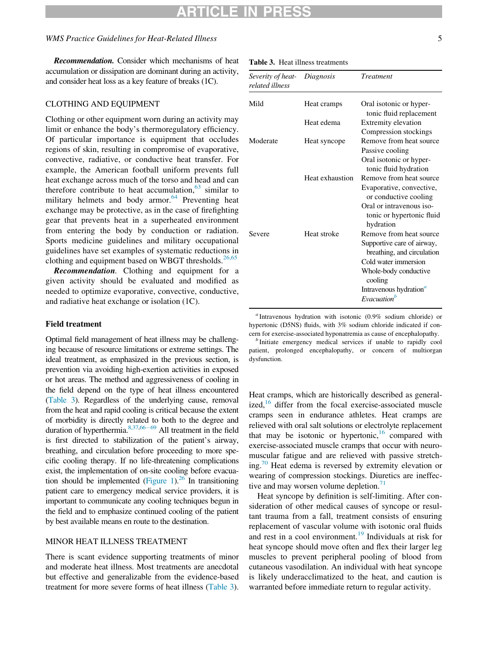#### WMS Practice Guidelines for Heat-Related Illness 5

<span id="page-4-0"></span>Recommendation. Consider which mechanisms of heat accumulation or dissipation are dominant during an activity, and consider heat loss as a key feature of breaks (1C).

#### CLOTHING AND EQUIPMENT

Clothing or other equipment worn during an activity may limit or enhance the body's thermoregulatory efficiency. Of particular importance is equipment that occludes regions of skin, resulting in compromise of evaporative, convective, radiative, or conductive heat transfer. For example, the American football uniform prevents full heat exchange across much of the torso and head and can therefore contribute to heat accumulation,  $63 \sinh 1$  $63 \sinh 1$  to military helmets and body armor. $64$  Preventing heat exchange may be protective, as in the case of firefighting gear that prevents heat in a superheated environment from entering the body by conduction or radiation. Sports medicine guidelines and military occupational guidelines have set examples of systematic reductions in clothing and equipment based on WBGT thresholds. $26,65$ 

Recommendation. Clothing and equipment for a given activity should be evaluated and modified as needed to optimize evaporative, convective, conductive, and radiative heat exchange or isolation (1C).

#### <span id="page-4-1"></span>Field treatment

<span id="page-4-2"></span>Optimal field management of heat illness may be challenging because of resource limitations or extreme settings. The ideal treatment, as emphasized in the previous section, is prevention via avoiding high-exertion activities in exposed or hot areas. The method and aggressiveness of cooling in the field depend on the type of heat illness encountered [\(Table 3\)](#page-4-0). Regardless of the underlying cause, removal from the heat and rapid cooling is critical because the extent of morbidity is directly related to both to the degree and duration of hyperthermia. $8,37,66-69$  $8,37,66-69$  $8,37,66-69$  $8,37,66-69$  All treatment in the field is first directed to stabilization of the patient's airway, breathing, and circulation before proceeding to more specific cooling therapy. If no life-threatening complications exist, the implementation of on-site cooling before evacua-tion should be implemented [\(Figure 1\)](#page-5-0).<sup>26</sup> In transitioning patient care to emergency medical service providers, it is important to communicate any cooling techniques begun in the field and to emphasize continued cooling of the patient by best available means en route to the destination.

## MINOR HEAT ILLNESS TREATMENT

There is scant evidence supporting treatments of minor and moderate heat illness. Most treatments are anecdotal but effective and generalizable from the evidence-based treatment for more severe forms of heat illness [\(Table 3](#page-4-0)).

Table 3. Heat illness treatments

| Severity of heat-<br>related illness | Diagnosis       | <b>Treatment</b>                                                                                            |
|--------------------------------------|-----------------|-------------------------------------------------------------------------------------------------------------|
| Mild                                 | Heat cramps     | Oral isotonic or hyper-<br>tonic fluid replacement                                                          |
|                                      | Heat edema      | Extremity elevation<br>Compression stockings                                                                |
| Moderate                             | Heat syncope    | Remove from heat source<br>Passive cooling<br>Oral isotonic or hyper-                                       |
|                                      | Heat exhaustion | tonic fluid hydration<br>Remove from heat source<br>Evaporative, convective,<br>or conductive cooling       |
|                                      |                 | Oral or intravenous iso-<br>tonic or hypertonic fluid<br>hydration                                          |
| Severe                               | Heat stroke     | Remove from heat source<br>Supportive care of airway,<br>breathing, and circulation<br>Cold water immersion |
|                                      |                 | Whole-body conductive<br>cooling<br>Intravenous hydration <sup>a</sup>                                      |
|                                      |                 | Evacuation <sup>b</sup>                                                                                     |

<sup>a</sup> Intravenous hydration with isotonic (0.9% sodium chloride) or hypertonic (D5NS) fluids, with 3% sodium chloride indicated if concern for exercise-associated hyponatremia as cause of encephalopathy. <sup>b</sup> Initiate emergency medical services if unable to rapidly cool

patient, prolonged encephalopathy, or concern of multiorgan dysfunction.

Heat cramps, which are historically described as generalized, $16$  differ from the focal exercise-associated muscle cramps seen in endurance athletes. Heat cramps are relieved with oral salt solutions or electrolyte replacement that may be isotonic or hypertonic,  $16$  compared with exercise-associated muscle cramps that occur with neuromuscular fatigue and are relieved with passive stretching.<sup>70</sup> Heat edema is reversed by extremity elevation or wearing of compression stockings. Diuretics are ineffective and may worsen volume depletion. $71$ 

Heat syncope by definition is self-limiting. After consideration of other medical causes of syncope or resultant trauma from a fall, treatment consists of ensuring replacement of vascular volume with isotonic oral fluids and rest in a cool environment.<sup>[19](#page-10-6)</sup> Individuals at risk for heat syncope should move often and flex their larger leg muscles to prevent peripheral pooling of blood from cutaneous vasodilation. An individual with heat syncope is likely underacclimatized to the heat, and caution is warranted before immediate return to regular activity.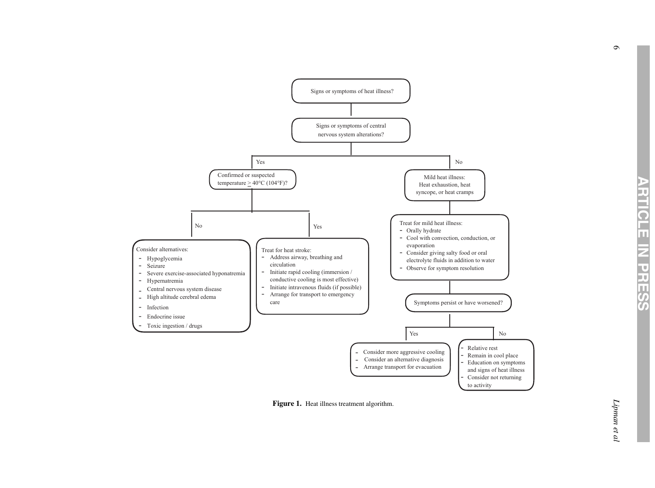<span id="page-5-0"></span>

Figure 1. Heat illness treatment algorithm.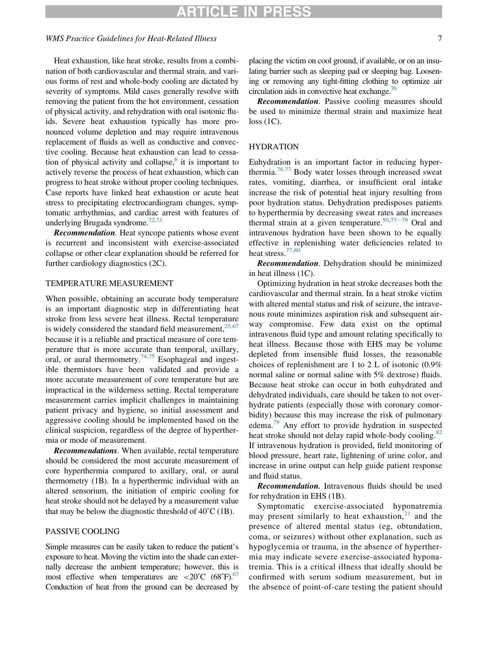## RTICLE IN

#### WMS Practice Guidelines for Heat-Related Illness 7 7

Heat exhaustion, like heat stroke, results from a combination of both cardiovascular and thermal strain, and various forms of rest and whole-body cooling are dictated by severity of symptoms. Mild cases generally resolve with removing the patient from the hot environment, cessation of physical activity, and rehydration with oral isotonic fluids. Severe heat exhaustion typically has more pronounced volume depletion and may require intravenous replacement of fluids as well as conductive and convective cooling. Because heat exhaustion can lead to cessation of physical activity and collapse, $6$  it is important to actively reverse the process of heat exhaustion, which can progress to heat stroke without proper cooling techniques. Case reports have linked heat exhaustion or acute heat stress to precipitating electrocardiogram changes, symptomatic arrhythmias, and cardiac arrest with features of underlying Brugada syndrome.<sup>72,73</sup>

Recommendation. Heat syncope patients whose event is recurrent and inconsistent with exercise-associated collapse or other clear explanation should be referred for further cardiology diagnostics (2C).

#### TEMPERATURE MEASUREMENT

When possible, obtaining an accurate body temperature is an important diagnostic step in differentiating heat stroke from less severe heat illness. Rectal temperature is widely considered the standard field measurement,  $25,67$ because it is a reliable and practical measure of core temperature that is more accurate than temporal, axillary, oral, or aural thermometry.<sup>[74,75](#page-11-15)</sup> Esophageal and ingestible thermistors have been validated and provide a more accurate measurement of core temperature but are impractical in the wilderness setting. Rectal temperature measurement carries implicit challenges in maintaining patient privacy and hygiene, so initial assessment and aggressive cooling should be implemented based on the clinical suspicion, regardless of the degree of hyperthermia or mode of measurement.

Recommendations. When available, rectal temperature should be considered the most accurate measurement of core hyperthermia compared to axillary, oral, or aural thermometry (1B). In a hyperthermic individual with an altered sensorium, the initiation of empiric cooling for heat stroke should not be delayed by a measurement value that may be below the diagnostic threshold of  $40^{\circ}$ C (1B).

## PASSIVE COOLING

Simple measures can be easily taken to reduce the patient's exposure to heat. Moving the victim into the shade can externally decrease the ambient temperature; however, this is most effective when temperatures are  $\langle 20^{\circ}$ C (68 $^{\circ}$ F).<sup>67</sup> Conduction of heat from the ground can be decreased by placing the victim on cool ground, if available, or on an insulating barrier such as sleeping pad or sleeping bag. Loosening or removing any tight-fitting clothing to optimize air circulation aids in convective heat exchange. $76$ 

Recommendation. Passive cooling measures should be used to minimize thermal strain and maximize heat loss (1C).

#### HYDRATION

Euhydration is an important factor in reducing hyper-thermia.<sup>[76,77](#page-11-17)</sup> Body water losses through increased sweat rates, vomiting, diarrhea, or insufficient oral intake increase the risk of potential heat injury resulting from poor hydration status. Dehydration predisposes patients to hyperthermia by decreasing sweat rates and increases thermal strain at a given temperature.<sup>[50](#page-11-18)[,77](#page-11-19)-[79](#page-11-19)</sup> Oral and intravenous hydration have been shown to be equally effective in replenishing water deficiencies related to heat stress.<sup>[77,80](#page-11-19)</sup>

Recommendation. Dehydration should be minimized in heat illness (1C).

Optimizing hydration in heat stroke decreases both the cardiovascular and thermal strain. In a heat stroke victim with altered mental status and risk of seizure, the intravenous route minimizes aspiration risk and subsequent airway compromise. Few data exist on the optimal intravenous fluid type and amount relating specifically to heat illness. Because those with EHS may be volume depleted from insensible fluid losses, the reasonable choices of replenishment are 1 to 2 L of isotonic (0.9% normal saline or normal saline with 5% dextrose) fluids. Because heat stroke can occur in both euhydrated and dehydrated individuals, care should be taken to not overhydrate patients (especially those with coronary comorbidity) because this may increase the risk of pulmonary edema.<sup>[79](#page-12-0)</sup> Any effort to provide hydration in suspected heat stroke should not delay rapid whole-body cooling.<sup>[82](#page-12-1)</sup> If intravenous hydration is provided, field monitoring of blood pressure, heart rate, lightening of urine color, and increase in urine output can help guide patient response and fluid status.

Recommendation. Intravenous fluids should be used for rehydration in EHS (1B).

Symptomatic exercise-associated hyponatremia may present similarly to heat exhaustion, $2<sup>1</sup>$  and the presence of altered mental status (eg, obtundation, coma, or seizures) without other explanation, such as hypoglycemia or trauma, in the absence of hyperthermia may indicate severe exercise-associated hyponatremia. This is a critical illness that ideally should be confirmed with serum sodium measurement, but in the absence of point-of-care testing the patient should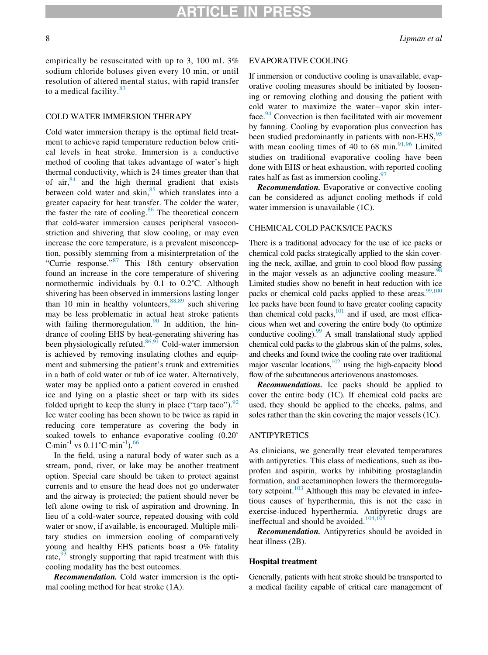empirically be resuscitated with up to 3, 100 mL 3% sodium chloride boluses given every 10 min, or until resolution of altered mental status, with rapid transfer to a medical facility. $83$ 

#### COLD WATER IMMERSION THERAPY

Cold water immersion therapy is the optimal field treatment to achieve rapid temperature reduction below critical levels in heat stroke. Immersion is a conductive method of cooling that takes advantage of water's high thermal conductivity, which is 24 times greater than that of air, $84$  and the high thermal gradient that exists between cold water and skin,<sup>[85](#page-12-4)</sup> which translates into a greater capacity for heat transfer. The colder the water, the faster the rate of cooling. $86$  The theoretical concern that cold-water immersion causes peripheral vasoconstriction and shivering that slow cooling, or may even increase the core temperature, is a prevalent misconception, possibly stemming from a misinterpretation of the "Currie response."[87](#page-12-6) This 18th century observation found an increase in the core temperature of shivering normothermic individuals by 0.1 to 0.2˚C. Although shivering has been observed in immersions lasting longer than  $10$  min in healthy volunteers,  $88,89$  such shivering may be less problematic in actual heat stroke patients with failing thermoregulation.<sup>90</sup> In addition, the hindrance of cooling EHS by heat-generating shivering has been physiologically refuted. $86,91$  Cold-water immersion is achieved by removing insulating clothes and equipment and submersing the patient's trunk and extremities in a bath of cold water or tub of ice water. Alternatively, water may be applied onto a patient covered in crushed ice and lying on a plastic sheet or tarp with its sides folded upright to keep the slurry in place ("tarp taco").  $92$ Ice water cooling has been shown to be twice as rapid in reducing core temperature as covering the body in soaked towels to enhance evaporative cooling (0.20˚ C·min<sup>-1</sup> vs  $0.11^{\circ}$ C·min<sup>-1</sup>).<sup>[66](#page-11-11)</sup>

In the field, using a natural body of water such as a stream, pond, river, or lake may be another treatment option. Special care should be taken to protect against currents and to ensure the head does not go underwater and the airway is protected; the patient should never be left alone owing to risk of aspiration and drowning. In lieu of a cold-water source, repeated dousing with cold water or snow, if available, is encouraged. Multiple military studies on immersion cooling of comparatively young and healthy EHS patients boast a 0% fatality rate, $93$  strongly supporting that rapid treatment with this cooling modality has the best outcomes.

Recommendation. Cold water immersion is the optimal cooling method for heat stroke (1A).

#### EVAPORATIVE COOLING

If immersion or conductive cooling is unavailable, evaporative cooling measures should be initiated by loosening or removing clothing and dousing the patient with cold water to maximize the water-vapor skin interface. $94$  Convection is then facilitated with air movement by fanning. Cooling by evaporation plus convection has been studied predominantly in patients with non-EHS, <sup>[95](#page-12-12)</sup> with mean cooling times of 40 to 68 min. $91,96$  Limited studies on traditional evaporative cooling have been done with EHS or heat exhaustion, with reported cooling rates half as fast as immersion cooling. $97$ 

**Recommendation.** Evaporative or convective cooling can be considered as adjunct cooling methods if cold water immersion is unavailable  $(1C)$ .

#### CHEMICAL COLD PACKS/ICE PACKS

There is a traditional advocacy for the use of ice packs or chemical cold packs strategically applied to the skin covering the neck, axillae, and groin to cool blood flow passing in the major vessels as an adjunctive cooling measure.<sup>98</sup> Limited studies show no benefit in heat reduction with ice packs or chemical cold packs applied to these areas.<sup>99,100</sup> Ice packs have been found to have greater cooling capacity than chemical cold packs, $101$  and if used, are most efficacious when wet and covering the entire body (to optimize conductive cooling).  $^{99}$  A small translational study applied chemical cold packs to the glabrous skin of the palms, soles, and cheeks and found twice the cooling rate over traditional major vascular locations,  $102$  using the high-capacity blood flow of the subcutaneous arteriovenous anastomoses.

Recommendations. Ice packs should be applied to cover the entire body (1C). If chemical cold packs are used, they should be applied to the cheeks, palms, and soles rather than the skin covering the major vessels (1C).

## ANTIPYRETICS

As clinicians, we generally treat elevated temperatures with antipyretics. This class of medications, such as ibuprofen and aspirin, works by inhibiting prostaglandin formation, and acetaminophen lowers the thermoregulatory setpoint. $103$  Although this may be elevated in infectious causes of hyperthermia, this is not the case in exercise-induced hyperthermia. Antipyretic drugs are ineffectual and should be avoided.<sup>[104,105](#page-12-20)</sup>

Recommendation. Antipyretics should be avoided in heat illness (2B).

#### Hospital treatment

Generally, patients with heat stroke should be transported to a medical facility capable of critical care management of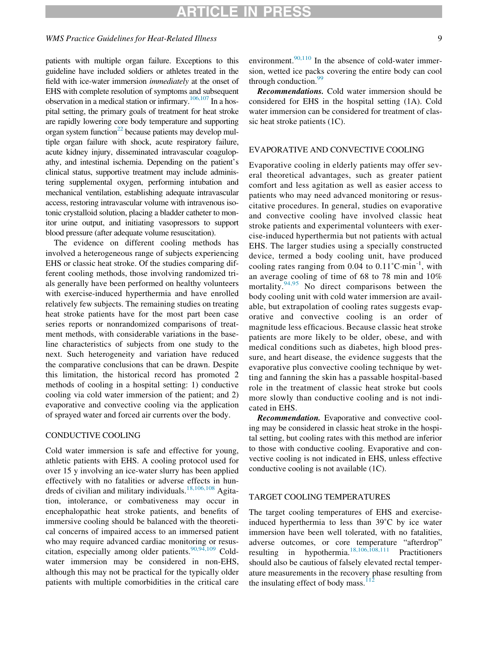## RTICLE IN

## WMS Practice Guidelines for Heat-Related Illness 9

patients with multiple organ failure. Exceptions to this guideline have included soldiers or athletes treated in the field with ice-water immersion *immediately* at the onset of EHS with complete resolution of symptoms and subsequent observation in a medical station or infirmary.<sup>106,107</sup> In a hospital setting, the primary goals of treatment for heat stroke are rapidly lowering core body temperature and supporting organ system function $^{22}$  because patients may develop multiple organ failure with shock, acute respiratory failure, acute kidney injury, disseminated intravascular coagulopathy, and intestinal ischemia. Depending on the patient's clinical status, supportive treatment may include administering supplemental oxygen, performing intubation and mechanical ventilation, establishing adequate intravascular access, restoring intravascular volume with intravenous isotonic crystalloid solution, placing a bladder catheter to monitor urine output, and initiating vasopressors to support blood pressure (after adequate volume resuscitation).

The evidence on different cooling methods has involved a heterogeneous range of subjects experiencing EHS or classic heat stroke. Of the studies comparing different cooling methods, those involving randomized trials generally have been performed on healthy volunteers with exercise-induced hyperthermia and have enrolled relatively few subjects. The remaining studies on treating heat stroke patients have for the most part been case series reports or nonrandomized comparisons of treatment methods, with considerable variations in the baseline characteristics of subjects from one study to the next. Such heterogeneity and variation have reduced the comparative conclusions that can be drawn. Despite this limitation, the historical record has promoted 2 methods of cooling in a hospital setting: 1) conductive cooling via cold water immersion of the patient; and 2) evaporative and convective cooling via the application of sprayed water and forced air currents over the body.

### CONDUCTIVE COOLING

Cold water immersion is safe and effective for young, athletic patients with EHS. A cooling protocol used for over 15 y involving an ice-water slurry has been applied effectively with no fatalities or adverse effects in hun-dreds of civilian and military individuals.<sup>[18,106,108](#page-10-5)</sup> Agitation, intolerance, or combativeness may occur in encephalopathic heat stroke patients, and benefits of immersive cooling should be balanced with the theoretical concerns of impaired access to an immersed patient who may require advanced cardiac monitoring or resuscitation, especially among older patients.  $90,94,109$  Coldwater immersion may be considered in non-EHS, although this may not be practical for the typically older patients with multiple comorbidities in the critical care

environment. $90,110$  In the absence of cold-water immersion, wetted ice packs covering the entire body can cool through conduction. $99$ 

Recommendations. Cold water immersion should be considered for EHS in the hospital setting (1A). Cold water immersion can be considered for treatment of classic heat stroke patients (1C).

### EVAPORATIVE AND CONVECTIVE COOLING

Evaporative cooling in elderly patients may offer several theoretical advantages, such as greater patient comfort and less agitation as well as easier access to patients who may need advanced monitoring or resuscitative procedures. In general, studies on evaporative and convective cooling have involved classic heat stroke patients and experimental volunteers with exercise-induced hyperthermia but not patients with actual EHS. The larger studies using a specially constructed device, termed a body cooling unit, have produced cooling rates ranging from  $0.04$  to  $0.11^{\circ}$ C·min<sup>-1</sup>, with an average cooling of time of 68 to 78 min and 10% mortality. $94,95$  No direct comparisons between the body cooling unit with cold water immersion are available, but extrapolation of cooling rates suggests evaporative and convective cooling is an order of magnitude less efficacious. Because classic heat stroke patients are more likely to be older, obese, and with medical conditions such as diabetes, high blood pressure, and heart disease, the evidence suggests that the evaporative plus convective cooling technique by wetting and fanning the skin has a passable hospital-based role in the treatment of classic heat stroke but cools more slowly than conductive cooling and is not indicated in EHS.

Recommendation. Evaporative and convective cooling may be considered in classic heat stroke in the hospital setting, but cooling rates with this method are inferior to those with conductive cooling. Evaporative and convective cooling is not indicated in EHS, unless effective conductive cooling is not available (1C).

## TARGET COOLING TEMPERATURES

The target cooling temperatures of EHS and exerciseinduced hyperthermia to less than 39˚C by ice water immersion have been well tolerated, with no fatalities, adverse outcomes, or core temperature "afterdrop" resulting in hypothermia[.18,106,108,111](#page-10-5) Practitioners should also be cautious of falsely elevated rectal temperature measurements in the recovery phase resulting from the insulating effect of body mass. $112$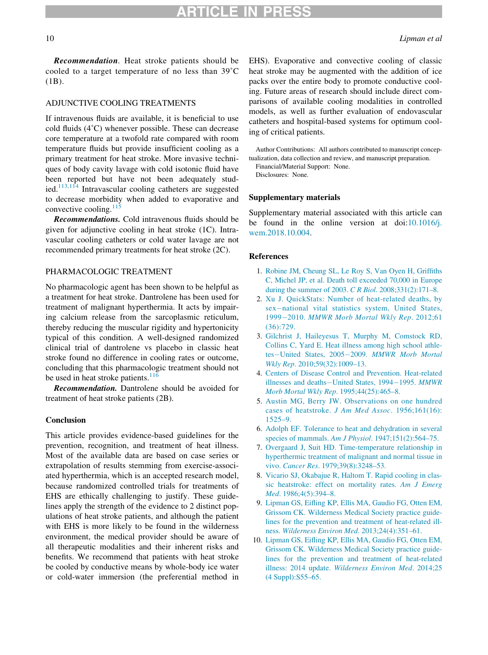Recommendation. Heat stroke patients should be cooled to a target temperature of no less than 39˚C (1B).

## ADJUNCTIVE COOLING TREATMENTS

If intravenous fluids are available, it is beneficial to use cold fluids (4˚C) whenever possible. These can decrease core temperature at a twofold rate compared with room temperature fluids but provide insufficient cooling as a primary treatment for heat stroke. More invasive techniques of body cavity lavage with cold isotonic fluid have been reported but have not been adequately stud-ied.<sup>[113,114](#page-13-1)</sup> Intravascular cooling catheters are suggested to decrease morbidity when added to evaporative and convective cooling. $11$ 

Recommendations. Cold intravenous fluids should be given for adjunctive cooling in heat stroke (1C). Intravascular cooling catheters or cold water lavage are not recommended primary treatments for heat stroke (2C).

#### <span id="page-9-0"></span>PHARMACOLOGIC TREATMENT

<span id="page-9-2"></span><span id="page-9-1"></span>No pharmacologic agent has been shown to be helpful as a treatment for heat stroke. Dantrolene has been used for treatment of malignant hyperthermia. It acts by impairing calcium release from the sarcoplasmic reticulum, thereby reducing the muscular rigidity and hypertonicity typical of this condition. A well-designed randomized clinical trial of dantrolene vs placebo in classic heat stroke found no difference in cooling rates or outcome, concluding that this pharmacologic treatment should not be used in heat stroke patients. $116$ 

<span id="page-9-4"></span><span id="page-9-3"></span>Recommendation. Dantrolene should be avoided for treatment of heat stroke patients (2B).

#### <span id="page-9-5"></span>Conclusion

<span id="page-9-8"></span><span id="page-9-7"></span><span id="page-9-6"></span>This article provides evidence-based guidelines for the prevention, recognition, and treatment of heat illness. Most of the available data are based on case series or extrapolation of results stemming from exercise-associated hyperthermia, which is an accepted research model, because randomized controlled trials for treatments of EHS are ethically challenging to justify. These guidelines apply the strength of the evidence to 2 distinct populations of heat stroke patients, and although the patient with EHS is more likely to be found in the wilderness environment, the medical provider should be aware of all therapeutic modalities and their inherent risks and benefits. We recommend that patients with heat stroke be cooled by conductive means by whole-body ice water or cold-water immersion (the preferential method in

EHS). Evaporative and convective cooling of classic heat stroke may be augmented with the addition of ice packs over the entire body to promote conductive cooling. Future areas of research should include direct comparisons of available cooling modalities in controlled models, as well as further evaluation of endovascular catheters and hospital-based systems for optimum cooling of critical patients.

Author Contributions: All authors contributed to manuscript conceptualization, data collection and review, and manuscript preparation.

Financial/Material Support: None. Disclosures: None.

#### Supplementary materials

Supplementary material associated with this article can be found in the online version at doi:[10.1016/j.](https://doi.org/10.1016/j.wem.2018.10.004) [wem.2018.10.004.](https://doi.org/10.1016/j.wem.2018.10.004)

#### References

- 1. [Robine JM, Cheung SL, Le Roy S, Van Oyen H, Griffiths](http://refhub.elsevier.com/S1080-6032(18)30199-6/sbref0001) [C, Michel JP, et al. Death toll exceeded 70,000 in Europe](http://refhub.elsevier.com/S1080-6032(18)30199-6/sbref0001) [during the summer of 2003.](http://refhub.elsevier.com/S1080-6032(18)30199-6/sbref0001) C R Biol. 2008;331(2):171–8.
- 2. [Xu J. QuickStats: Number of heat-related deaths, by](http://refhub.elsevier.com/S1080-6032(18)30199-6/sbref0002) [sex](http://refhub.elsevier.com/S1080-6032(18)30199-6/sbref0002)-[national vital statistics](http://refhub.elsevier.com/S1080-6032(18)30199-6/sbref0002) system, United States, [1999](http://refhub.elsevier.com/S1080-6032(18)30199-6/sbref0002)-2010. [MMWR Morb Mortal Wkly Rep](http://refhub.elsevier.com/S1080-6032(18)30199-6/sbref0002). 2012;61 [\(36\):729.](http://refhub.elsevier.com/S1080-6032(18)30199-6/sbref0002)
- 3. [Gilchrist J, Haileyesus T, Murphy M, Comstock RD,](http://refhub.elsevier.com/S1080-6032(18)30199-6/sbref0003) [Collins C, Yard E. Heat illness among high school athle](http://refhub.elsevier.com/S1080-6032(18)30199-6/sbref0003)[tes](http://refhub.elsevier.com/S1080-6032(18)30199-6/sbref0003)-[United States, 2005](http://refhub.elsevier.com/S1080-6032(18)30199-6/sbref0003)-2009. [MMWR Morb Mortal](http://refhub.elsevier.com/S1080-6032(18)30199-6/sbref0003) Wkly Rep[. 2010;59\(32\):1009–13.](http://refhub.elsevier.com/S1080-6032(18)30199-6/sbref0003)
- 4. [Centers of Disease Control and Prevention. Heat-related](http://refhub.elsevier.com/S1080-6032(18)30199-6/sbref0004) [illnesses and deaths](http://refhub.elsevier.com/S1080-6032(18)30199-6/sbref0004)-[United States, 1994](http://refhub.elsevier.com/S1080-6032(18)30199-6/sbref0004)-1995. [MMWR](http://refhub.elsevier.com/S1080-6032(18)30199-6/sbref0004) [Morb Mortal Wkly Rep](http://refhub.elsevier.com/S1080-6032(18)30199-6/sbref0004). 1995;44(25):465–8.
- 5. [Austin MG, Berry JW. Observations on one hundred](http://refhub.elsevier.com/S1080-6032(18)30199-6/sbref0005) [cases of heatstroke.](http://refhub.elsevier.com/S1080-6032(18)30199-6/sbref0005) J Am Med Assoc. 1956;161(16): [1525–9.](http://refhub.elsevier.com/S1080-6032(18)30199-6/sbref0005)
- 6. [Adolph EF. Tolerance to heat and dehydration in several](http://refhub.elsevier.com/S1080-6032(18)30199-6/sbref0006) species of mammals. Am J Physiol[. 1947;151\(2\):564–75.](http://refhub.elsevier.com/S1080-6032(18)30199-6/sbref0006)
- 7. [Overgaard J, Suit HD. Time-temperature relationship in](http://refhub.elsevier.com/S1080-6032(18)30199-6/sbref0007) [hyperthermic treatment of malignant and normal tissue in](http://refhub.elsevier.com/S1080-6032(18)30199-6/sbref0007) vivo. Cancer Res[. 1979;39\(8\):3248–53.](http://refhub.elsevier.com/S1080-6032(18)30199-6/sbref0007)
- 8. [Vicario SJ, Okabajue R, Haltom T. Rapid cooling in clas](http://refhub.elsevier.com/S1080-6032(18)30199-6/sbref0008)[sic heatstroke: effect on mortality rates.](http://refhub.elsevier.com/S1080-6032(18)30199-6/sbref0008) Am J Emerg Med[. 1986;4\(5\):394–8.](http://refhub.elsevier.com/S1080-6032(18)30199-6/sbref0008)
- 9. [Lipman GS, Eifling KP, Ellis MA, Gaudio FG, Otten EM,](http://refhub.elsevier.com/S1080-6032(18)30199-6/sbref0115) [Grissom CK. Wilderness Medical Society practice guide](http://refhub.elsevier.com/S1080-6032(18)30199-6/sbref0115)[lines for the prevention and treatment of heat-related ill](http://refhub.elsevier.com/S1080-6032(18)30199-6/sbref0115)ness. [Wilderness Environ Med](http://refhub.elsevier.com/S1080-6032(18)30199-6/sbref0115). 2013;24(4):351–61.
- 10. [Lipman GS, Eifling KP, Ellis MA, Gaudio FG, Otten EM,](http://refhub.elsevier.com/S1080-6032(18)30199-6/sbref0116) [Grissom CK. Wilderness Medical Society practice guide](http://refhub.elsevier.com/S1080-6032(18)30199-6/sbref0116)[lines for the prevention and treatment of heat-related](http://refhub.elsevier.com/S1080-6032(18)30199-6/sbref0116) illness: 2014 update. [Wilderness Environ Med](http://refhub.elsevier.com/S1080-6032(18)30199-6/sbref0116). 2014;25 [\(4 Suppl\):S55–65.](http://refhub.elsevier.com/S1080-6032(18)30199-6/sbref0116)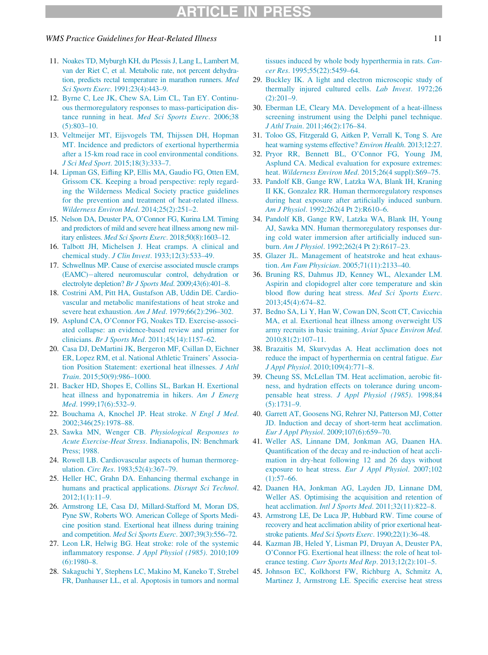#### WMS Practice Guidelines for Heat-Related Illness 11 and 2008 11 and 2008 11 and 2008 11 and 2008 11 and 2008 11

- <span id="page-10-0"></span>11. [Noakes TD, Myburgh KH, du Plessis J, Lang L, Lambert M,](http://refhub.elsevier.com/S1080-6032(18)30199-6/sbref0009) [van der Riet C, et al. Metabolic rate, not percent dehydra](http://refhub.elsevier.com/S1080-6032(18)30199-6/sbref0009)[tion, predicts rectal temperature in marathon runners.](http://refhub.elsevier.com/S1080-6032(18)30199-6/sbref0009) Med Sci Sports Exerc[. 1991;23\(4\):443–9.](http://refhub.elsevier.com/S1080-6032(18)30199-6/sbref0009)
- <span id="page-10-13"></span><span id="page-10-1"></span>12. [Byrne C, Lee JK, Chew SA, Lim CL, Tan EY. Continu](http://refhub.elsevier.com/S1080-6032(18)30199-6/sbref0010)[ous thermoregulatory responses to mass-participation dis](http://refhub.elsevier.com/S1080-6032(18)30199-6/sbref0010)tance running in heat. [Med Sci Sports Exerc](http://refhub.elsevier.com/S1080-6032(18)30199-6/sbref0010). 2006;38 [\(5\):803–10.](http://refhub.elsevier.com/S1080-6032(18)30199-6/sbref0010)
- <span id="page-10-14"></span>13. [Veltmeijer MT, Eijsvogels TM, Thijssen DH, Hopman](http://refhub.elsevier.com/S1080-6032(18)30199-6/sbref0011) [MT. Incidence and predictors of exertional hyperthermia](http://refhub.elsevier.com/S1080-6032(18)30199-6/sbref0011) [after a 15-km road race in cool environmental conditions.](http://refhub.elsevier.com/S1080-6032(18)30199-6/sbref0011) J Sci Med Sport[. 2015;18\(3\):333–7.](http://refhub.elsevier.com/S1080-6032(18)30199-6/sbref0011)
- <span id="page-10-15"></span><span id="page-10-2"></span>14. [Lipman GS, Eifling KP, Ellis MA, Gaudio FG, Otten EM,](http://refhub.elsevier.com/S1080-6032(18)30199-6/sbref0012) [Grissom CK. Keeping a broad perspective: reply regard](http://refhub.elsevier.com/S1080-6032(18)30199-6/sbref0012)[ing the Wilderness Medical Society practice guidelines](http://refhub.elsevier.com/S1080-6032(18)30199-6/sbref0012) [for the prevention and treatment of heat-related illness.](http://refhub.elsevier.com/S1080-6032(18)30199-6/sbref0012) [Wilderness Environ Med](http://refhub.elsevier.com/S1080-6032(18)30199-6/sbref0012). 2014;25(2):251–2.
- <span id="page-10-23"></span>15. [Nelson DA, Deuster PA, O'Connor FG, Kurina LM. Timing](http://refhub.elsevier.com/S1080-6032(18)30199-6/sbref0013) [and predictors of mild and severe heat illness among new mil](http://refhub.elsevier.com/S1080-6032(18)30199-6/sbref0013)itary enlistees. Med Sci Sports Exerc[. 2018;50\(8\):1603–12.](http://refhub.elsevier.com/S1080-6032(18)30199-6/sbref0013)
- <span id="page-10-16"></span><span id="page-10-3"></span>16. [Talbott JH, Michelsen J. Heat cramps. A clinical and](http://refhub.elsevier.com/S1080-6032(18)30199-6/sbref0014) chemical study. J Clin Invest[. 1933;12\(3\):533–49.](http://refhub.elsevier.com/S1080-6032(18)30199-6/sbref0014)
- <span id="page-10-4"></span>17. [Schwellnus MP. Cause of exercise associated muscle cramps](http://refhub.elsevier.com/S1080-6032(18)30199-6/sbref0015) [\(EAMC\)](http://refhub.elsevier.com/S1080-6032(18)30199-6/sbref0015)-altered neuromuscular [control, dehydration or](http://refhub.elsevier.com/S1080-6032(18)30199-6/sbref0015) [electrolyte depletion?](http://refhub.elsevier.com/S1080-6032(18)30199-6/sbref0015) Br J Sports Med. 2009;43(6):401–8.
- <span id="page-10-5"></span>18. [Costrini AM, Pitt HA, Gustafson AB, Uddin DE. Cardio](http://refhub.elsevier.com/S1080-6032(18)30199-6/sbref0016)[vascular and metabolic manifestations of heat stroke and](http://refhub.elsevier.com/S1080-6032(18)30199-6/sbref0016) [severe heat exhaustion.](http://refhub.elsevier.com/S1080-6032(18)30199-6/sbref0016) Am J Med. 1979;66(2):296-302.
- <span id="page-10-17"></span><span id="page-10-6"></span>19. [Asplund CA, O'Connor FG, Noakes TD. Exercise-associ](http://refhub.elsevier.com/S1080-6032(18)30199-6/sbref0017)[ated collapse: an evidence-based review and primer for](http://refhub.elsevier.com/S1080-6032(18)30199-6/sbref0017) clinicians. Br J Sports Med[. 2011;45\(14\):1157–62.](http://refhub.elsevier.com/S1080-6032(18)30199-6/sbref0017)
- <span id="page-10-18"></span>20. [Casa DJ, DeMartini JK, Bergeron MF, Csillan D, Eichner](http://refhub.elsevier.com/S1080-6032(18)30199-6/sbref0018) [ER, Lopez RM, et al. National Athletic Trainers' Associa](http://refhub.elsevier.com/S1080-6032(18)30199-6/sbref0018)[tion Position Statement: exertional heat illnesses.](http://refhub.elsevier.com/S1080-6032(18)30199-6/sbref0018) J Athl Train[. 2015;50\(9\):986–1000.](http://refhub.elsevier.com/S1080-6032(18)30199-6/sbref0018)
- <span id="page-10-22"></span><span id="page-10-7"></span>21. [Backer HD, Shopes E, Collins SL, Barkan H. Exertional](http://refhub.elsevier.com/S1080-6032(18)30199-6/sbref0019) [heat illness and hyponatremia in hikers.](http://refhub.elsevier.com/S1080-6032(18)30199-6/sbref0019) Am J Emerg Med[. 1999;17\(6\):532–9.](http://refhub.elsevier.com/S1080-6032(18)30199-6/sbref0019)
- <span id="page-10-8"></span>22. [Bouchama A, Knochel JP. Heat stroke.](http://refhub.elsevier.com/S1080-6032(18)30199-6/sbref0020) N Engl J Med. [2002;346\(25\):1978–88.](http://refhub.elsevier.com/S1080-6032(18)30199-6/sbref0020)
- <span id="page-10-19"></span><span id="page-10-9"></span>23. Sawka MN, Wenger CB. [Physiological Responses to](http://refhub.elsevier.com/S1080-6032(18)30199-6/sbref0021) Acute Exercise-Heat Stress[. Indianapolis, IN: Benchmark](http://refhub.elsevier.com/S1080-6032(18)30199-6/sbref0021) [Press; 1988.](http://refhub.elsevier.com/S1080-6032(18)30199-6/sbref0021)
- <span id="page-10-10"></span>24. [Rowell LB. Cardiovascular aspects of human thermoreg](http://refhub.elsevier.com/S1080-6032(18)30199-6/sbref0022)ulation. Circ Res[. 1983;52\(4\):367–79.](http://refhub.elsevier.com/S1080-6032(18)30199-6/sbref0022)
- <span id="page-10-24"></span>25. [Heller HC, Grahn DA. Enhancing thermal exchange in](http://refhub.elsevier.com/S1080-6032(18)30199-6/sbref0023) [humans and practical applications.](http://refhub.elsevier.com/S1080-6032(18)30199-6/sbref0023) Disrupt Sci Technol. [2012;1\(1\):11–9.](http://refhub.elsevier.com/S1080-6032(18)30199-6/sbref0023)
- <span id="page-10-20"></span><span id="page-10-11"></span>26. [Armstrong LE, Casa DJ, Millard-Stafford M, Moran DS,](http://refhub.elsevier.com/S1080-6032(18)30199-6/sbref0024) [Pyne SW, Roberts WO. American College of Sports Medi](http://refhub.elsevier.com/S1080-6032(18)30199-6/sbref0024)[cine position stand. Exertional heat illness during training](http://refhub.elsevier.com/S1080-6032(18)30199-6/sbref0024) and competition. [Med Sci Sports Exerc](http://refhub.elsevier.com/S1080-6032(18)30199-6/sbref0024). 2007;39(3):556–72.
- <span id="page-10-21"></span>27. [Leon LR, Helwig BG. Heat stroke: role of the systemic](http://refhub.elsevier.com/S1080-6032(18)30199-6/sbref0025) [inflammatory response.](http://refhub.elsevier.com/S1080-6032(18)30199-6/sbref0025) J Appl Physiol (1985). 2010;109 [\(6\):1980–8.](http://refhub.elsevier.com/S1080-6032(18)30199-6/sbref0025)
- <span id="page-10-12"></span>28. [Sakaguchi Y, Stephens LC, Makino M, Kaneko T, Strebel](http://refhub.elsevier.com/S1080-6032(18)30199-6/sbref0026) [FR, Danhauser LL, et al. Apoptosis in tumors and normal](http://refhub.elsevier.com/S1080-6032(18)30199-6/sbref0026)

[tissues induced by whole body hyperthermia in rats.](http://refhub.elsevier.com/S1080-6032(18)30199-6/sbref0026) Cancer Res[. 1995;55\(22\):5459–64.](http://refhub.elsevier.com/S1080-6032(18)30199-6/sbref0026)

- 29. [Buckley IK. A light and electron microscopic study of](http://refhub.elsevier.com/S1080-6032(18)30199-6/sbref0027) [thermally injured cultured cells.](http://refhub.elsevier.com/S1080-6032(18)30199-6/sbref0027) Lab Invest. 1972;26 [\(2\):201–9.](http://refhub.elsevier.com/S1080-6032(18)30199-6/sbref0027)
- 30. [Eberman LE, Cleary MA. Development of a heat-illness](http://refhub.elsevier.com/S1080-6032(18)30199-6/sbref0028) [screening instrument using the Delphi panel technique.](http://refhub.elsevier.com/S1080-6032(18)30199-6/sbref0028) J Athl Train[. 2011;46\(2\):176–84.](http://refhub.elsevier.com/S1080-6032(18)30199-6/sbref0028)
- 31. [Toloo GS, Fitzgerald G, Aitken P, Verrall K, Tong S. Are](http://refhub.elsevier.com/S1080-6032(18)30199-6/sbref0029) [heat warning systems effective?](http://refhub.elsevier.com/S1080-6032(18)30199-6/sbref0029) Environ Health. 2013;12:27.
- 32. [Pryor RR, Bennett BL, O'Connor FG, Young JM,](http://refhub.elsevier.com/S1080-6032(18)30199-6/sbref0030) [Asplund CA. Medical evaluation for exposure extremes:](http://refhub.elsevier.com/S1080-6032(18)30199-6/sbref0030) heat. Wilderness Environ Med. 2015;26(4 suppl):S69-75.
- 33. [Pandolf KB, Gange RW, Latzka WA, Blank IH, Kraning](http://refhub.elsevier.com/S1080-6032(18)30199-6/sbref0031) [II KK, Gonzalez RR. Human thermoregulatory responses](http://refhub.elsevier.com/S1080-6032(18)30199-6/sbref0031) [during heat exposure after artificially induced sunburn.](http://refhub.elsevier.com/S1080-6032(18)30199-6/sbref0031) Am J Physiol[. 1992;262\(4 Pt 2\):R610–6.](http://refhub.elsevier.com/S1080-6032(18)30199-6/sbref0031)
- 34. [Pandolf KB, Gange RW, Latzka WA, Blank IH, Young](http://refhub.elsevier.com/S1080-6032(18)30199-6/sbref0032) [AJ, Sawka MN. Human thermoregulatory responses dur](http://refhub.elsevier.com/S1080-6032(18)30199-6/sbref0032)[ing cold water immersion after artificially induced sun](http://refhub.elsevier.com/S1080-6032(18)30199-6/sbref0032)burn. Am J Physiol[. 1992;262\(4 Pt 2\):R617–23.](http://refhub.elsevier.com/S1080-6032(18)30199-6/sbref0032)
- 35. [Glazer JL. Management of heatstroke and heat exhaus](http://refhub.elsevier.com/S1080-6032(18)30199-6/sbref0033)tion. Am Fam Physician[. 2005;71\(11\):2133–40.](http://refhub.elsevier.com/S1080-6032(18)30199-6/sbref0033)
- 36. [Bruning RS, Dahmus JD, Kenney WL, Alexander LM.](http://refhub.elsevier.com/S1080-6032(18)30199-6/sbref0034) [Aspirin and clopidogrel alter core temperature and skin](http://refhub.elsevier.com/S1080-6032(18)30199-6/sbref0034) [blood flow during heat stress.](http://refhub.elsevier.com/S1080-6032(18)30199-6/sbref0034) Med Sci Sports Exerc. [2013;45\(4\):674–82.](http://refhub.elsevier.com/S1080-6032(18)30199-6/sbref0034)
- 37. [Bedno SA, Li Y, Han W, Cowan DN, Scott CT, Cavicchia](http://refhub.elsevier.com/S1080-6032(18)30199-6/sbref0035) [MA, et al. Exertional heat illness among overweight US](http://refhub.elsevier.com/S1080-6032(18)30199-6/sbref0035) [army recruits in basic training.](http://refhub.elsevier.com/S1080-6032(18)30199-6/sbref0035) Aviat Space Environ Med. [2010;81\(2\):107–11.](http://refhub.elsevier.com/S1080-6032(18)30199-6/sbref0035)
- 38. [Brazaitis M, Skurvydas A. Heat acclimation does not](http://refhub.elsevier.com/S1080-6032(18)30199-6/sbref0036) [reduce the impact of hyperthermia on central fatigue.](http://refhub.elsevier.com/S1080-6032(18)30199-6/sbref0036) Eur J Appl Physiol[. 2010;109\(4\):771–8.](http://refhub.elsevier.com/S1080-6032(18)30199-6/sbref0036)
- 39. [Cheung SS, McLellan TM. Heat acclimation, aerobic fit](http://refhub.elsevier.com/S1080-6032(18)30199-6/sbref0037)[ness, and hydration effects on tolerance during uncom](http://refhub.elsevier.com/S1080-6032(18)30199-6/sbref0037)pensable heat stress. [J Appl Physiol \(1985\)](http://refhub.elsevier.com/S1080-6032(18)30199-6/sbref0037). 1998;84 [\(5\):1731–9.](http://refhub.elsevier.com/S1080-6032(18)30199-6/sbref0037)
- 40. [Garrett AT, Goosens NG, Rehrer NJ, Patterson MJ, Cotter](http://refhub.elsevier.com/S1080-6032(18)30199-6/sbref0038) [JD. Induction and decay of short-term heat acclimation.](http://refhub.elsevier.com/S1080-6032(18)30199-6/sbref0038) Eur J Appl Physiol[. 2009;107\(6\):659–70.](http://refhub.elsevier.com/S1080-6032(18)30199-6/sbref0038)
- 41. [Weller AS, Linnane DM, Jonkman AG, Daanen HA.](http://refhub.elsevier.com/S1080-6032(18)30199-6/sbref0039) [Quantification of the decay and re-induction of heat accli](http://refhub.elsevier.com/S1080-6032(18)30199-6/sbref0039)[mation in dry-heat following 12 and 26 days without](http://refhub.elsevier.com/S1080-6032(18)30199-6/sbref0039) [exposure to heat stress.](http://refhub.elsevier.com/S1080-6032(18)30199-6/sbref0039) Eur J Appl Physiol. 2007;102  $(1):$ 57–66.
- 42. [Daanen HA, Jonkman AG, Layden JD, Linnane DM,](http://refhub.elsevier.com/S1080-6032(18)30199-6/sbref0040) [Weller AS. Optimising the acquisition and retention of](http://refhub.elsevier.com/S1080-6032(18)30199-6/sbref0040) heat acclimation. *Intl J Sports Med.* 2011;32(11):822-8.
- 43. [Armstrong LE, De Luca JP, Hubbard RW. Time course of](http://refhub.elsevier.com/S1080-6032(18)30199-6/sbref0041) [recovery and heat acclimation ability of prior exertional heat](http://refhub.elsevier.com/S1080-6032(18)30199-6/sbref0041)stroke patients. [Med Sci Sports Exerc](http://refhub.elsevier.com/S1080-6032(18)30199-6/sbref0041). 1990;22(1):36–48.
- 44. [Kazman JB, Heled Y, Lisman PJ, Druyan A, Deuster PA,](http://refhub.elsevier.com/S1080-6032(18)30199-6/sbref0042) [O'Connor FG. Exertional heat illness: the role of heat tol](http://refhub.elsevier.com/S1080-6032(18)30199-6/sbref0042)erance testing. [Curr Sports Med Rep](http://refhub.elsevier.com/S1080-6032(18)30199-6/sbref0042). 2013;12(2):101–5.
- 45. [Johnson EC, Kolkhorst FW, Richburg A, Schmitz A,](http://refhub.elsevier.com/S1080-6032(18)30199-6/sbref0043) [Martinez J, Armstrong LE. Specific exercise heat stress](http://refhub.elsevier.com/S1080-6032(18)30199-6/sbref0043)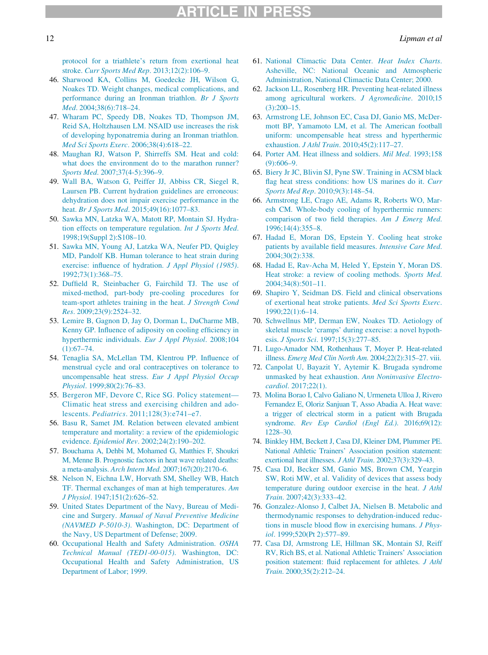[protocol for a triathlete's return from exertional heat](http://refhub.elsevier.com/S1080-6032(18)30199-6/sbref0043) stroke. [Curr Sports Med Rep](http://refhub.elsevier.com/S1080-6032(18)30199-6/sbref0043). 2013;12(2):106–9.

- <span id="page-11-8"></span><span id="page-11-0"></span>46. [Sharwood KA, Collins M, Goedecke JH, Wilson G,](http://refhub.elsevier.com/S1080-6032(18)30199-6/sbref0044) [Noakes TD. Weight changes, medical complications, and](http://refhub.elsevier.com/S1080-6032(18)30199-6/sbref0044) [performance during an Ironman triathlon.](http://refhub.elsevier.com/S1080-6032(18)30199-6/sbref0044) Br J Sports Med[. 2004;38\(6\):718–24.](http://refhub.elsevier.com/S1080-6032(18)30199-6/sbref0044)
- <span id="page-11-9"></span>47. [Wharam PC, Speedy DB, Noakes TD, Thompson JM,](http://refhub.elsevier.com/S1080-6032(18)30199-6/sbref0045) [Reid SA, Holtzhausen LM. NSAID use increases the risk](http://refhub.elsevier.com/S1080-6032(18)30199-6/sbref0045) [of developing hyponatremia during an Ironman triathlon.](http://refhub.elsevier.com/S1080-6032(18)30199-6/sbref0045) [Med Sci Sports Exerc](http://refhub.elsevier.com/S1080-6032(18)30199-6/sbref0045). 2006;38(4):618–22.
- <span id="page-11-10"></span>48. [Maughan RJ, Watson P, Shirreffs SM. Heat and cold:](http://refhub.elsevier.com/S1080-6032(18)30199-6/sbref0046) [what does the environment do to the marathon runner?](http://refhub.elsevier.com/S1080-6032(18)30199-6/sbref0046) Sports Med[. 2007;37\(4-5\):396–9.](http://refhub.elsevier.com/S1080-6032(18)30199-6/sbref0046)
- <span id="page-11-11"></span>49. [Wall BA, Watson G, Peiffer JJ, Abbiss CR, Siegel R,](http://refhub.elsevier.com/S1080-6032(18)30199-6/sbref0047) [Laursen PB. Current hydration guidelines are erroneous:](http://refhub.elsevier.com/S1080-6032(18)30199-6/sbref0047) [dehydration does not impair exercise performance in the](http://refhub.elsevier.com/S1080-6032(18)30199-6/sbref0047) heat. Br J Sports Med. 2015;49(16):1077-83.
- <span id="page-11-18"></span>50. [Sawka MN, Latzka WA, Matott RP, Montain SJ. Hydra](http://refhub.elsevier.com/S1080-6032(18)30199-6/sbref0048)[tion effects on temperature regulation.](http://refhub.elsevier.com/S1080-6032(18)30199-6/sbref0048) Int J Sports Med. [1998;19\(Suppl 2\):S108–10.](http://refhub.elsevier.com/S1080-6032(18)30199-6/sbref0048)
- <span id="page-11-16"></span>51. [Sawka MN, Young AJ, Latzka WA, Neufer PD, Quigley](http://refhub.elsevier.com/S1080-6032(18)30199-6/sbref0049) [MD, Pandolf KB. Human tolerance to heat strain during](http://refhub.elsevier.com/S1080-6032(18)30199-6/sbref0049) [exercise: influence of hydration.](http://refhub.elsevier.com/S1080-6032(18)30199-6/sbref0049) J Appl Physiol (1985). [1992;73\(1\):368–75.](http://refhub.elsevier.com/S1080-6032(18)30199-6/sbref0049)
- <span id="page-11-1"></span>52. [Duffield R, Steinbacher G, Fairchild TJ. The use of](http://refhub.elsevier.com/S1080-6032(18)30199-6/sbref0050) [mixed-method, part-body pre-cooling procedures for](http://refhub.elsevier.com/S1080-6032(18)30199-6/sbref0050) [team-sport athletes training in the heat.](http://refhub.elsevier.com/S1080-6032(18)30199-6/sbref0050) J Strength Cond Res[. 2009;23\(9\):2524–32.](http://refhub.elsevier.com/S1080-6032(18)30199-6/sbref0050)
- <span id="page-11-12"></span><span id="page-11-2"></span>53. [Lemire B, Gagnon D, Jay O, Dorman L, DuCharme MB,](http://refhub.elsevier.com/S1080-6032(18)30199-6/sbref0051) [Kenny GP. Influence of adiposity on cooling efficiency in](http://refhub.elsevier.com/S1080-6032(18)30199-6/sbref0051) [hyperthermic individuals.](http://refhub.elsevier.com/S1080-6032(18)30199-6/sbref0051) Eur J Appl Physiol. 2008;104  $(1):67-74.$
- <span id="page-11-14"></span><span id="page-11-13"></span><span id="page-11-3"></span>54. [Tenaglia SA, McLellan TM, Klentrou PP. Influence of](http://refhub.elsevier.com/S1080-6032(18)30199-6/sbref0052) [menstrual cycle and oral contraceptives on tolerance to](http://refhub.elsevier.com/S1080-6032(18)30199-6/sbref0052) uncompensable heat stress. [Eur J Appl Physiol Occup](http://refhub.elsevier.com/S1080-6032(18)30199-6/sbref0052) Physiol[. 1999;80\(2\):76–83.](http://refhub.elsevier.com/S1080-6032(18)30199-6/sbref0052)
- <span id="page-11-4"></span>55. [Bergeron MF, Devore C, Rice SG. Policy statement—](http://refhub.elsevier.com/S1080-6032(18)30199-6/sbref0053) [Climatic heat stress and exercising children and ado](http://refhub.elsevier.com/S1080-6032(18)30199-6/sbref0053)lescents. Pediatrics[. 2011;128\(3\):e741–e7.](http://refhub.elsevier.com/S1080-6032(18)30199-6/sbref0053)
- 56. [Basu R, Samet JM. Relation between elevated ambient](http://refhub.elsevier.com/S1080-6032(18)30199-6/sbref0054) [temperature and mortality: a review of the epidemiologic](http://refhub.elsevier.com/S1080-6032(18)30199-6/sbref0054) evidence. Epidemiol Rev[. 2002;24\(2\):190–202.](http://refhub.elsevier.com/S1080-6032(18)30199-6/sbref0054)
- <span id="page-11-15"></span>57. [Bouchama A, Dehbi M, Mohamed G, Matthies F, Shoukri](http://refhub.elsevier.com/S1080-6032(18)30199-6/sbref0055) [M, Menne B. Prognostic factors in heat wave related deaths:](http://refhub.elsevier.com/S1080-6032(18)30199-6/sbref0055) a meta-analysis. Arch Intern Med[. 2007;167\(20\):2170–6.](http://refhub.elsevier.com/S1080-6032(18)30199-6/sbref0055)
- <span id="page-11-5"></span>58. [Nelson N, Eichna LW, Horvath SM, Shelley WB, Hatch](http://refhub.elsevier.com/S1080-6032(18)30199-6/sbref0056) [TF. Thermal exchanges of man at high temperatures.](http://refhub.elsevier.com/S1080-6032(18)30199-6/sbref0056) Am J Physiol[. 1947;151\(2\):626–52.](http://refhub.elsevier.com/S1080-6032(18)30199-6/sbref0056)
- <span id="page-11-17"></span><span id="page-11-6"></span>59. [United States Department of the Navy, Bureau of Medi](http://refhub.elsevier.com/S1080-6032(18)30199-6/sbref0057)cine and Surgery. [Manual of Naval Preventive Medicine](http://refhub.elsevier.com/S1080-6032(18)30199-6/sbref0057) (NAVMED P-5010-3)[. Washington, DC: Department of](http://refhub.elsevier.com/S1080-6032(18)30199-6/sbref0057) [the Navy, US Department of Defense; 2009.](http://refhub.elsevier.com/S1080-6032(18)30199-6/sbref0057)
- <span id="page-11-19"></span><span id="page-11-7"></span>60. [Occupational Health and Safety Administration.](http://refhub.elsevier.com/S1080-6032(18)30199-6/sbref0058) OSHA [Technical Manual \(TED1-00-015\)](http://refhub.elsevier.com/S1080-6032(18)30199-6/sbref0058). Washington, DC: [Occupational Health and Safety Administration, US](http://refhub.elsevier.com/S1080-6032(18)30199-6/sbref0058) [Department of Labor; 1999.](http://refhub.elsevier.com/S1080-6032(18)30199-6/sbref0058)
- 61. [National Climactic Data Center.](http://refhub.elsevier.com/S1080-6032(18)30199-6/sbref0059) Heat Index Charts. [Asheville, NC: National Oceanic and Atmospheric](http://refhub.elsevier.com/S1080-6032(18)30199-6/sbref0059) [Administration, National Climactic Data Center; 2000.](http://refhub.elsevier.com/S1080-6032(18)30199-6/sbref0059)
- 62. [Jackson LL, Rosenberg HR. Preventing heat-related illness](http://refhub.elsevier.com/S1080-6032(18)30199-6/sbref0060) [among agricultural workers.](http://refhub.elsevier.com/S1080-6032(18)30199-6/sbref0060) J Agromedicine. 2010;15 [\(3\):200–15.](http://refhub.elsevier.com/S1080-6032(18)30199-6/sbref0060)
- 63. [Armstrong LE, Johnson EC, Casa DJ, Ganio MS, McDer](http://refhub.elsevier.com/S1080-6032(18)30199-6/sbref0061)[mott BP, Yamamoto LM, et al. The American football](http://refhub.elsevier.com/S1080-6032(18)30199-6/sbref0061) [uniform: uncompensable heat stress and hyperthermic](http://refhub.elsevier.com/S1080-6032(18)30199-6/sbref0061) exhaustion. J Athl Train[. 2010;45\(2\):117–27.](http://refhub.elsevier.com/S1080-6032(18)30199-6/sbref0061)
- 64. [Porter AM. Heat illness and soldiers.](http://refhub.elsevier.com/S1080-6032(18)30199-6/sbref0062) Mil Med. 1993;158 [\(9\):606–9.](http://refhub.elsevier.com/S1080-6032(18)30199-6/sbref0062)
- 65. [Biery Jr JC, Blivin SJ, Pyne SW. Training in ACSM black](http://refhub.elsevier.com/S1080-6032(18)30199-6/sbref0063) [flag heat stress conditions: how US marines do it.](http://refhub.elsevier.com/S1080-6032(18)30199-6/sbref0063) Curr Sports Med Rep[. 2010;9\(3\):148–54.](http://refhub.elsevier.com/S1080-6032(18)30199-6/sbref0063)
- 66. [Armstrong LE, Crago AE, Adams R, Roberts WO, Mar](http://refhub.elsevier.com/S1080-6032(18)30199-6/sbref0064)[esh CM. Whole-body cooling of hyperthermic runners:](http://refhub.elsevier.com/S1080-6032(18)30199-6/sbref0064) [comparison of two field therapies.](http://refhub.elsevier.com/S1080-6032(18)30199-6/sbref0064) Am J Emerg Med. [1996;14\(4\):355–8.](http://refhub.elsevier.com/S1080-6032(18)30199-6/sbref0064)
- 67. [Hadad E, Moran DS, Epstein Y. Cooling heat stroke](http://refhub.elsevier.com/S1080-6032(18)30199-6/sbref0065) [patients by available field measures.](http://refhub.elsevier.com/S1080-6032(18)30199-6/sbref0065) Intensive Care Med. [2004;30\(2\):338.](http://refhub.elsevier.com/S1080-6032(18)30199-6/sbref0065)
- 68. [Hadad E, Rav-Acha M, Heled Y, Epstein Y, Moran DS.](http://refhub.elsevier.com/S1080-6032(18)30199-6/sbref0066) [Heat stroke: a review of cooling methods.](http://refhub.elsevier.com/S1080-6032(18)30199-6/sbref0066) Sports Med. [2004;34\(8\):501–11.](http://refhub.elsevier.com/S1080-6032(18)30199-6/sbref0066)
- 69. [Shapiro Y, Seidman DS. Field and clinical observations](http://refhub.elsevier.com/S1080-6032(18)30199-6/sbref0067) [of exertional heat stroke patients.](http://refhub.elsevier.com/S1080-6032(18)30199-6/sbref0067) Med Sci Sports Exerc. [1990;22\(1\):6–14.](http://refhub.elsevier.com/S1080-6032(18)30199-6/sbref0067)
- 70. [Schwellnus MP, Derman EW, Noakes TD. Aetiology of](http://refhub.elsevier.com/S1080-6032(18)30199-6/sbref0068) [skeletal muscle](http://refhub.elsevier.com/S1080-6032(18)30199-6/sbref0068) ['cramps' during exercise: a novel hypoth](http://refhub.elsevier.com/S1080-6032(18)30199-6/sbref0068)esis. J Sports Sci[. 1997;15\(3\):277–85.](http://refhub.elsevier.com/S1080-6032(18)30199-6/sbref0068)
- 71. [Lugo-Amador NM, Rothenhaus](http://refhub.elsevier.com/S1080-6032(18)30199-6/sbref0069) T, Moyer P. Heat-related illness. [Emerg Med Clin North Am](http://refhub.elsevier.com/S1080-6032(18)30199-6/sbref0069). 2004;22(2):315–27. viii.
- 72. [Canpolat U, Bayazit Y, Aytemir K. Brugada syndrome](http://refhub.elsevier.com/S1080-6032(18)30199-6/sbref0070) [unmasked by heat exhaustion.](http://refhub.elsevier.com/S1080-6032(18)30199-6/sbref0070) Ann Noninvasive Electrocardiol[. 2017;22\(1\).](http://refhub.elsevier.com/S1080-6032(18)30199-6/sbref0070)
- 73. [Molina Borao I, Calvo Galiano N, Urmeneta Ulloa J, Rivero](http://refhub.elsevier.com/S1080-6032(18)30199-6/sbref0071) [Fernandez E, Oloriz Sanjuan T, Asso Abadia A. Heat wave:](http://refhub.elsevier.com/S1080-6032(18)30199-6/sbref0071) [a trigger of electrical storm in a patient with Brugada](http://refhub.elsevier.com/S1080-6032(18)30199-6/sbref0071) syndrome. [Rev Esp Cardiol \(Engl Ed.\)](http://refhub.elsevier.com/S1080-6032(18)30199-6/sbref0071). 2016;69(12): [1228–30.](http://refhub.elsevier.com/S1080-6032(18)30199-6/sbref0071)
- 74. [Binkley HM, Beckett J, Casa DJ, Kleiner DM, Plummer PE.](http://refhub.elsevier.com/S1080-6032(18)30199-6/sbref0072) [National Athletic Trainers' Association position statement:](http://refhub.elsevier.com/S1080-6032(18)30199-6/sbref0072) [exertional heat illnesses.](http://refhub.elsevier.com/S1080-6032(18)30199-6/sbref0072) J Athl Train. 2002;37(3):329–43.
- 75. [Casa DJ, Becker SM, Ganio MS, Brown CM, Yeargin](http://refhub.elsevier.com/S1080-6032(18)30199-6/sbref0073) [SW, Roti MW, et al. Validity of devices that assess body](http://refhub.elsevier.com/S1080-6032(18)30199-6/sbref0073) [temperature during outdoor exercise in the heat.](http://refhub.elsevier.com/S1080-6032(18)30199-6/sbref0073) J Athl Train[. 2007;42\(3\):333–42.](http://refhub.elsevier.com/S1080-6032(18)30199-6/sbref0073)
- 76. [Gonzalez-Alonso J, Calbet JA, Nielsen B. Metabolic and](http://refhub.elsevier.com/S1080-6032(18)30199-6/sbref0074) [thermodynamic responses to dehydration-induced reduc](http://refhub.elsevier.com/S1080-6032(18)30199-6/sbref0074)[tions in muscle blood flow in exercising humans.](http://refhub.elsevier.com/S1080-6032(18)30199-6/sbref0074) J Physiol[. 1999;520\(Pt 2\):577–89.](http://refhub.elsevier.com/S1080-6032(18)30199-6/sbref0074)
- 77. [Casa DJ, Armstrong LE, Hillman SK, Montain SJ, Reiff](http://refhub.elsevier.com/S1080-6032(18)30199-6/sbref0075) [RV, Rich BS, et al. National Athletic Trainers' Association](http://refhub.elsevier.com/S1080-6032(18)30199-6/sbref0075) [position statement: fluid replacement for athletes.](http://refhub.elsevier.com/S1080-6032(18)30199-6/sbref0075) J Athl Train[. 2000;35\(2\):212–24.](http://refhub.elsevier.com/S1080-6032(18)30199-6/sbref0075)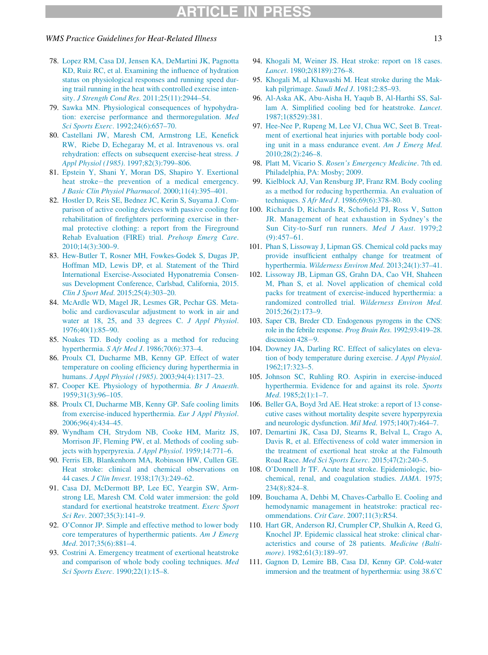#### WMS Practice Guidelines for Heat-Related Illness 13

- <span id="page-12-12"></span><span id="page-12-11"></span>78. [Lopez RM, Casa DJ, Jensen KA, DeMartini JK, Pagnotta](http://refhub.elsevier.com/S1080-6032(18)30199-6/sbref0076) [KD, Ruiz RC, et al. Examining the influence of hydration](http://refhub.elsevier.com/S1080-6032(18)30199-6/sbref0076) [status on physiological responses and running speed dur](http://refhub.elsevier.com/S1080-6032(18)30199-6/sbref0076)[ing trail running in the heat with controlled exercise inten](http://refhub.elsevier.com/S1080-6032(18)30199-6/sbref0076)sity. J Strength Cond Res[. 2011;25\(11\):2944–54.](http://refhub.elsevier.com/S1080-6032(18)30199-6/sbref0076)
- 79. [Sawka MN. Physiological consequences of hypohydra](http://refhub.elsevier.com/S1080-6032(18)30199-6/sbref0077)[tion: exercise performance and thermoregulation.](http://refhub.elsevier.com/S1080-6032(18)30199-6/sbref0077) Med Sci Sports Exerc[. 1992;24\(6\):657–70.](http://refhub.elsevier.com/S1080-6032(18)30199-6/sbref0077)
- <span id="page-12-14"></span>80. [Castellani JW, Maresh CM, Armstrong LE, Kenefick](http://refhub.elsevier.com/S1080-6032(18)30199-6/sbref0078) [RW, Riebe D, Echegaray M, et al. Intravenous vs. oral](http://refhub.elsevier.com/S1080-6032(18)30199-6/sbref0078) [rehydration: effects on subsequent exercise-heat stress.](http://refhub.elsevier.com/S1080-6032(18)30199-6/sbref0078) J Appl Physiol (1985)[. 1997;82\(3\):799–806.](http://refhub.elsevier.com/S1080-6032(18)30199-6/sbref0078)
- <span id="page-12-16"></span><span id="page-12-15"></span><span id="page-12-0"></span>81. [Epstein Y, Shani Y, Moran DS, Shapiro Y. Exertional](http://refhub.elsevier.com/S1080-6032(18)30199-6/sbref0079) [heat stroke](http://refhub.elsevier.com/S1080-6032(18)30199-6/sbref0079)-[the prevention of a medical emergency.](http://refhub.elsevier.com/S1080-6032(18)30199-6/sbref0079) [J Basic Clin Physiol Pharmacol](http://refhub.elsevier.com/S1080-6032(18)30199-6/sbref0079). 2000;11(4):395–401.
- <span id="page-12-1"></span>82. [Hostler D, Reis SE, Bednez JC, Kerin S, Suyama J. Com](http://refhub.elsevier.com/S1080-6032(18)30199-6/sbref0080)[parison of active cooling devices with passive cooling for](http://refhub.elsevier.com/S1080-6032(18)30199-6/sbref0080) [rehabilitation of firefighters performing exercise in ther](http://refhub.elsevier.com/S1080-6032(18)30199-6/sbref0080)[mal protective clothing: a report from the Fireground](http://refhub.elsevier.com/S1080-6032(18)30199-6/sbref0080) [Rehab Evaluation \(FIRE\) trial.](http://refhub.elsevier.com/S1080-6032(18)30199-6/sbref0080) Prehosp Emerg Care. [2010;14\(3\):300–9.](http://refhub.elsevier.com/S1080-6032(18)30199-6/sbref0080)
- <span id="page-12-18"></span><span id="page-12-17"></span><span id="page-12-2"></span>83. [Hew-Butler T, Rosner MH, Fowkes-Godek S, Dugas JP,](http://refhub.elsevier.com/S1080-6032(18)30199-6/sbref0081) [Hoffman MD, Lewis DP, et al. Statement of the Third](http://refhub.elsevier.com/S1080-6032(18)30199-6/sbref0081) [International Exercise-Associated Hyponatremia Consen](http://refhub.elsevier.com/S1080-6032(18)30199-6/sbref0081)[sus Development Conference, Carlsbad, California, 2015.](http://refhub.elsevier.com/S1080-6032(18)30199-6/sbref0081) Clin J Sport Med[. 2015;25\(4\):303–20.](http://refhub.elsevier.com/S1080-6032(18)30199-6/sbref0081)
- <span id="page-12-19"></span><span id="page-12-3"></span>84. [McArdle WD, Magel JR, Lesmes GR, Pechar GS. Meta](http://refhub.elsevier.com/S1080-6032(18)30199-6/sbref0082)[bolic and cardiovascular adjustment to work in air and](http://refhub.elsevier.com/S1080-6032(18)30199-6/sbref0082) [water at 18, 25, and 33 degrees C.](http://refhub.elsevier.com/S1080-6032(18)30199-6/sbref0082) J Appl Physiol. [1976;40\(1\):85–90.](http://refhub.elsevier.com/S1080-6032(18)30199-6/sbref0082)
- <span id="page-12-20"></span><span id="page-12-4"></span>85. [Noakes TD. Body cooling as a method for reducing](http://refhub.elsevier.com/S1080-6032(18)30199-6/sbref0083) hyperthermia. S Afr Med J[. 1986;70\(6\):373–4.](http://refhub.elsevier.com/S1080-6032(18)30199-6/sbref0083)
- <span id="page-12-5"></span>86. [Proulx CI, Ducharme MB, Kenny GP. Effect of water](http://refhub.elsevier.com/S1080-6032(18)30199-6/sbref0084) [temperature on cooling efficiency during hyperthermia in](http://refhub.elsevier.com/S1080-6032(18)30199-6/sbref0084) humans. J Appl Physiol (1985)[. 2003;94\(4\):1317–23.](http://refhub.elsevier.com/S1080-6032(18)30199-6/sbref0084)
- <span id="page-12-6"></span>87. [Cooper KE. Physiology of hypothermia.](http://refhub.elsevier.com/S1080-6032(18)30199-6/sbref0085) Br J Anaesth. [1959;31\(3\):96–105.](http://refhub.elsevier.com/S1080-6032(18)30199-6/sbref0085)
- <span id="page-12-21"></span><span id="page-12-7"></span>88. [Proulx CI, Ducharme MB, Kenny GP. Safe cooling limits](http://refhub.elsevier.com/S1080-6032(18)30199-6/sbref0086) [from exercise-induced hyperthermia.](http://refhub.elsevier.com/S1080-6032(18)30199-6/sbref0086) Eur J Appl Physiol. [2006;96\(4\):434–45.](http://refhub.elsevier.com/S1080-6032(18)30199-6/sbref0086)
- 89. [Wyndham CH, Strydom NB, Cooke HM, Maritz JS,](http://refhub.elsevier.com/S1080-6032(18)30199-6/sbref0087) [Morrison JF, Fleming PW, et al. Methods of cooling sub](http://refhub.elsevier.com/S1080-6032(18)30199-6/sbref0087)[jects with hyperpyrexia.](http://refhub.elsevier.com/S1080-6032(18)30199-6/sbref0087) J Appl Physiol. 1959;14:771–6.
- <span id="page-12-8"></span>90. [Ferris EB, Blankenhorn MA, Robinson HW, Cullen GE.](http://refhub.elsevier.com/S1080-6032(18)30199-6/sbref0088) [Heat stroke: clinical and chemical observations on](http://refhub.elsevier.com/S1080-6032(18)30199-6/sbref0088) 44 cases. J Clin Invest[. 1938;17\(3\):249–62.](http://refhub.elsevier.com/S1080-6032(18)30199-6/sbref0088)
- <span id="page-12-13"></span>91. [Casa DJ, McDermott BP, Lee EC, Yeargin SW, Arm](http://refhub.elsevier.com/S1080-6032(18)30199-6/sbref0089)[strong LE, Maresh CM. Cold water immersion: the gold](http://refhub.elsevier.com/S1080-6032(18)30199-6/sbref0089) [standard for exertional heatstroke treatment.](http://refhub.elsevier.com/S1080-6032(18)30199-6/sbref0089) Exerc Sport Sci Rev[. 2007;35\(3\):141–9.](http://refhub.elsevier.com/S1080-6032(18)30199-6/sbref0089)
- <span id="page-12-9"></span>92. [O'Connor JP. Simple and effective method to lower body](http://refhub.elsevier.com/S1080-6032(18)30199-6/sbref0090) [core temperatures of hyperthermic patients.](http://refhub.elsevier.com/S1080-6032(18)30199-6/sbref0090) Am J Emerg Med[. 2017;35\(6\):881–4.](http://refhub.elsevier.com/S1080-6032(18)30199-6/sbref0090)
- <span id="page-12-10"></span>93. [Costrini A. Emergency treatment of exertional heatstroke](http://refhub.elsevier.com/S1080-6032(18)30199-6/sbref0091) [and comparison of whole body cooling techniques.](http://refhub.elsevier.com/S1080-6032(18)30199-6/sbref0091) Med Sci Sports Exerc[. 1990;22\(1\):15–8.](http://refhub.elsevier.com/S1080-6032(18)30199-6/sbref0091)
- 94. [Khogali M, Weiner JS. Heat stroke: report on 18 cases.](http://refhub.elsevier.com/S1080-6032(18)30199-6/sbref0092) Lancet[. 1980;2\(8189\):276–8.](http://refhub.elsevier.com/S1080-6032(18)30199-6/sbref0092)
- 95. [Khogali M, al Khawashi M. Heat stroke during the Mak](http://refhub.elsevier.com/S1080-6032(18)30199-6/sbref0093)kah pilgrimage. Saudi Med J[. 1981;2:85–93.](http://refhub.elsevier.com/S1080-6032(18)30199-6/sbref0093)
- 96. [Al-Aska AK, Abu-Aisha H, Yaqub B, Al-Harthi SS, Sal](http://refhub.elsevier.com/S1080-6032(18)30199-6/sbref0094)[lam A. Simplified cooling bed for heatstroke.](http://refhub.elsevier.com/S1080-6032(18)30199-6/sbref0094) Lancet. [1987;1\(8529\):381.](http://refhub.elsevier.com/S1080-6032(18)30199-6/sbref0094)
- 97. [Hee-Nee P, Rupeng M, Lee VJ, Chua WC, Seet B. Treat](http://refhub.elsevier.com/S1080-6032(18)30199-6/sbref0095)[ment of exertional heat injuries with portable body cool](http://refhub.elsevier.com/S1080-6032(18)30199-6/sbref0095)[ing unit in a mass endurance event.](http://refhub.elsevier.com/S1080-6032(18)30199-6/sbref0095) Am J Emerg Med. [2010;28\(2\):246–8.](http://refhub.elsevier.com/S1080-6032(18)30199-6/sbref0095)
- 98. [Platt M, Vicario S.](http://refhub.elsevier.com/S1080-6032(18)30199-6/sbref0096) Rosen'[s Emergency Medicine](http://refhub.elsevier.com/S1080-6032(18)30199-6/sbref0096). 7th ed. [Philadelphia, PA: Mosby; 2009.](http://refhub.elsevier.com/S1080-6032(18)30199-6/sbref0096)
- 99. [Kielblock AJ, Van Rensburg JP, Franz RM. Body cooling](http://refhub.elsevier.com/S1080-6032(18)30199-6/sbref0097) [as a method for reducing hyperthermia. An evaluation of](http://refhub.elsevier.com/S1080-6032(18)30199-6/sbref0097) techniques. S Afr Med J[. 1986;69\(6\):378–80.](http://refhub.elsevier.com/S1080-6032(18)30199-6/sbref0097)
- 100. [Richards D, Richards R, Schofield PJ, Ross V, Sutton](http://refhub.elsevier.com/S1080-6032(18)30199-6/sbref0098) [JR. Management of heat exhaustion in Sydney](http://refhub.elsevier.com/S1080-6032(18)30199-6/sbref0098)'[s the](http://refhub.elsevier.com/S1080-6032(18)30199-6/sbref0098) [Sun City-to-Surf run runners.](http://refhub.elsevier.com/S1080-6032(18)30199-6/sbref0098) Med J Aust. 1979;2 [\(9\):457–61.](http://refhub.elsevier.com/S1080-6032(18)30199-6/sbref0098)
- 101. [Phan S, Lissoway J, Lipman GS. Chemical cold packs may](http://refhub.elsevier.com/S1080-6032(18)30199-6/sbref0099) [provide insufficient enthalpy change for treatment of](http://refhub.elsevier.com/S1080-6032(18)30199-6/sbref0099) hyperthermia. [Wilderness Environ Med](http://refhub.elsevier.com/S1080-6032(18)30199-6/sbref0099). 2013;24(1):37–41.
- 102. [Lissoway JB, Lipman GS, Grahn DA, Cao VH, Shaheen](http://refhub.elsevier.com/S1080-6032(18)30199-6/sbref0100) [M, Phan S, et al. Novel application of chemical cold](http://refhub.elsevier.com/S1080-6032(18)30199-6/sbref0100) [packs for treatment of exercise-induced hyperthermia: a](http://refhub.elsevier.com/S1080-6032(18)30199-6/sbref0100) [randomized controlled trial.](http://refhub.elsevier.com/S1080-6032(18)30199-6/sbref0100) Wilderness Environ Med. [2015;26\(2\):173–9.](http://refhub.elsevier.com/S1080-6032(18)30199-6/sbref0100)
- 103. [Saper CB, Breder CD. Endogenous pyrogens in the CNS:](http://refhub.elsevier.com/S1080-6032(18)30199-6/sbref0101) [role in the febrile response.](http://refhub.elsevier.com/S1080-6032(18)30199-6/sbref0101) Prog Brain Res. 1992;93:419–28. discussion  $428-9$ .
- 104. [Downey JA, Darling RC. Effect of salicylates on eleva](http://refhub.elsevier.com/S1080-6032(18)30199-6/sbref0102)[tion of body temperature during exercise.](http://refhub.elsevier.com/S1080-6032(18)30199-6/sbref0102) J Appl Physiol. [1962;17:323–5.](http://refhub.elsevier.com/S1080-6032(18)30199-6/sbref0102)
- 105. [Johnson SC, Ruhling RO. Aspirin in exercise-induced](http://refhub.elsevier.com/S1080-6032(18)30199-6/sbref0103) [hyperthermia. Evidence for and against its role.](http://refhub.elsevier.com/S1080-6032(18)30199-6/sbref0103) Sports Med[. 1985;2\(1\):1–7.](http://refhub.elsevier.com/S1080-6032(18)30199-6/sbref0103)
- 106. [Beller GA, Boyd 3rd AE. Heat stroke: a report of 13 conse](http://refhub.elsevier.com/S1080-6032(18)30199-6/sbref0104)[cutive cases without mortality despite severe hyperpyrexia](http://refhub.elsevier.com/S1080-6032(18)30199-6/sbref0104) [and neurologic dysfunction.](http://refhub.elsevier.com/S1080-6032(18)30199-6/sbref0104) Mil Med. 1975;140(7):464–7.
- 107. [Demartini JK, Casa DJ, Stearns R, Belval L, Crago A,](http://refhub.elsevier.com/S1080-6032(18)30199-6/sbref0105) [Davis R, et al. Effectiveness of cold water immersion in](http://refhub.elsevier.com/S1080-6032(18)30199-6/sbref0105) [the treatment of exertional heat stroke at the Falmouth](http://refhub.elsevier.com/S1080-6032(18)30199-6/sbref0105) Road Race. [Med Sci Sports Exerc](http://refhub.elsevier.com/S1080-6032(18)30199-6/sbref0105). 2015;47(2):240–5.
- 108. [O'Donnell Jr TF. Acute heat stroke. Epidemiologic, bio](http://refhub.elsevier.com/S1080-6032(18)30199-6/sbref0106)[chemical, renal, and coagulation studies.](http://refhub.elsevier.com/S1080-6032(18)30199-6/sbref0106) JAMA. 1975; [234\(8\):824–8.](http://refhub.elsevier.com/S1080-6032(18)30199-6/sbref0106)
- 109. [Bouchama A, Dehbi M, Chaves-Carballo E. Cooling and](http://refhub.elsevier.com/S1080-6032(18)30199-6/sbref0107) [hemodynamic management in heatstroke: practical rec](http://refhub.elsevier.com/S1080-6032(18)30199-6/sbref0107)ommendations. Crit Care[. 2007;11\(3\):R54.](http://refhub.elsevier.com/S1080-6032(18)30199-6/sbref0107)
- 110. [Hart GR, Anderson RJ, Crumpler CP, Shulkin A, Reed G,](http://refhub.elsevier.com/S1080-6032(18)30199-6/sbref0108) [Knochel JP. Epidemic classical heat stroke: clinical char](http://refhub.elsevier.com/S1080-6032(18)30199-6/sbref0108)[acteristics and course of 28 patients.](http://refhub.elsevier.com/S1080-6032(18)30199-6/sbref0108) Medicine (Baltimore). 1982;61(3):189-97.
- 111. [Gagnon D, Lemire BB, Casa DJ, Kenny GP. Cold-water](http://refhub.elsevier.com/S1080-6032(18)30199-6/sbref0109) immersion and the treatment [of hyperthermia: using 38.6˚C](http://refhub.elsevier.com/S1080-6032(18)30199-6/sbref0109)